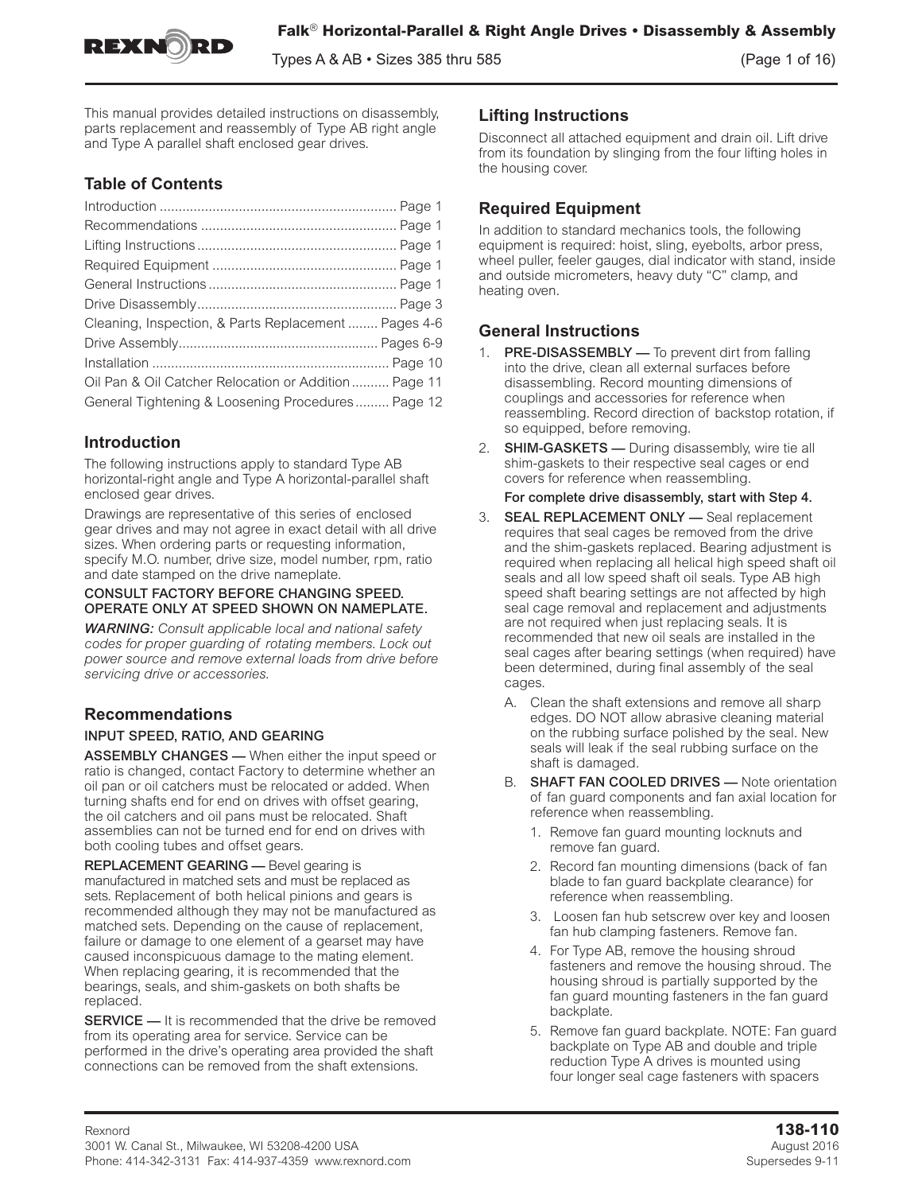

Types A & AB  $\cdot$  Sizes 385 thru 585  $(Page 1 of 16)$ 

This manual provides detailed instructions on disassembly, parts replacement and reassembly of Type AB right angle and Type A parallel shaft enclosed gear drives.

# **Table of Contents**

| Cleaning, Inspection, & Parts Replacement  Pages 4-6 |  |
|------------------------------------------------------|--|
|                                                      |  |
|                                                      |  |
| Oil Pan & Oil Catcher Relocation or Addition Page 11 |  |
| General Tightening & Loosening Procedures Page 12    |  |

# **Introduction**

The following instructions apply to standard Type AB horizontal-right angle and Type A horizontal-parallel shaft enclosed gear drives.

Drawings are representative of this series of enclosed gear drives and may not agree in exact detail with all drive sizes. When ordering parts or requesting information, specify M.O. number, drive size, model number, rpm, ratio and date stamped on the drive nameplate.

### CONSULT FACTORY BEFORE CHANGING SPEED. OPERATE ONLY AT SPEED SHOWN ON NAMEPLATE.

*WARNING: Consult applicable local and national safety codes for proper guarding of rotating members. Lock out power source and remove external loads from drive before servicing drive or accessories.*

# **Recommendations**

## INPUT SPEED, RATIO, AND GEARING

ASSEMBLY CHANGES — When either the input speed or ratio is changed, contact Factory to determine whether an oil pan or oil catchers must be relocated or added. When turning shafts end for end on drives with offset gearing, the oil catchers and oil pans must be relocated. Shaft assemblies can not be turned end for end on drives with both cooling tubes and offset gears.

REPLACEMENT GEARING — Bevel gearing is manufactured in matched sets and must be replaced as sets. Replacement of both helical pinions and gears is recommended although they may not be manufactured as matched sets. Depending on the cause of replacement, failure or damage to one element of a gearset may have caused inconspicuous damage to the mating element. When replacing gearing, it is recommended that the bearings, seals, and shim-gaskets on both shafts be replaced.

**SERVICE** — It is recommended that the drive be removed from its operating area for service. Service can be performed in the drive's operating area provided the shaft connections can be removed from the shaft extensions.

## **Lifting Instructions**

Disconnect all attached equipment and drain oil. Lift drive from its foundation by slinging from the four lifting holes in the housing cover.

# **Required Equipment**

In addition to standard mechanics tools, the following equipment is required: hoist, sling, eyebolts, arbor press, wheel puller, feeler gauges, dial indicator with stand, inside and outside micrometers, heavy duty "C" clamp, and heating oven.

# **General Instructions**

- 1. PRE-DISASSEMBLY To prevent dirt from falling into the drive, clean all external surfaces before disassembling. Record mounting dimensions of couplings and accessories for reference when reassembling. Record direction of backstop rotation, if so equipped, before removing.
- 2. **SHIM-GASKETS** During disassembly, wire tie all shim-gaskets to their respective seal cages or end covers for reference when reassembling.

For complete drive disassembly, start with Step 4.

- 3. SEAL REPLACEMENT ONLY Seal replacement requires that seal cages be removed from the drive and the shim-gaskets replaced. Bearing adjustment is required when replacing all helical high speed shaft oil seals and all low speed shaft oil seals. Type AB high speed shaft bearing settings are not affected by high seal cage removal and replacement and adjustments are not required when just replacing seals. It is recommended that new oil seals are installed in the seal cages after bearing settings (when required) have been determined, during final assembly of the seal cages.
	- A. Clean the shaft extensions and remove all sharp edges. DO NOT allow abrasive cleaning material on the rubbing surface polished by the seal. New seals will leak if the seal rubbing surface on the shaft is damaged.
	- B. SHAFT FAN COOLED DRIVES Note orientation of fan guard components and fan axial location for reference when reassembling.
		- 1. Remove fan guard mounting locknuts and remove fan guard.
		- 2. Record fan mounting dimensions (back of fan blade to fan guard backplate clearance) for reference when reassembling.
		- 3. Loosen fan hub setscrew over key and loosen fan hub clamping fasteners. Remove fan.
		- 4. For Type AB, remove the housing shroud fasteners and remove the housing shroud. The housing shroud is partially supported by the fan guard mounting fasteners in the fan guard backplate.
		- 5. Remove fan guard backplate. NOTE: Fan guard backplate on Type AB and double and triple reduction Type A drives is mounted using four longer seal cage fasteners with spacers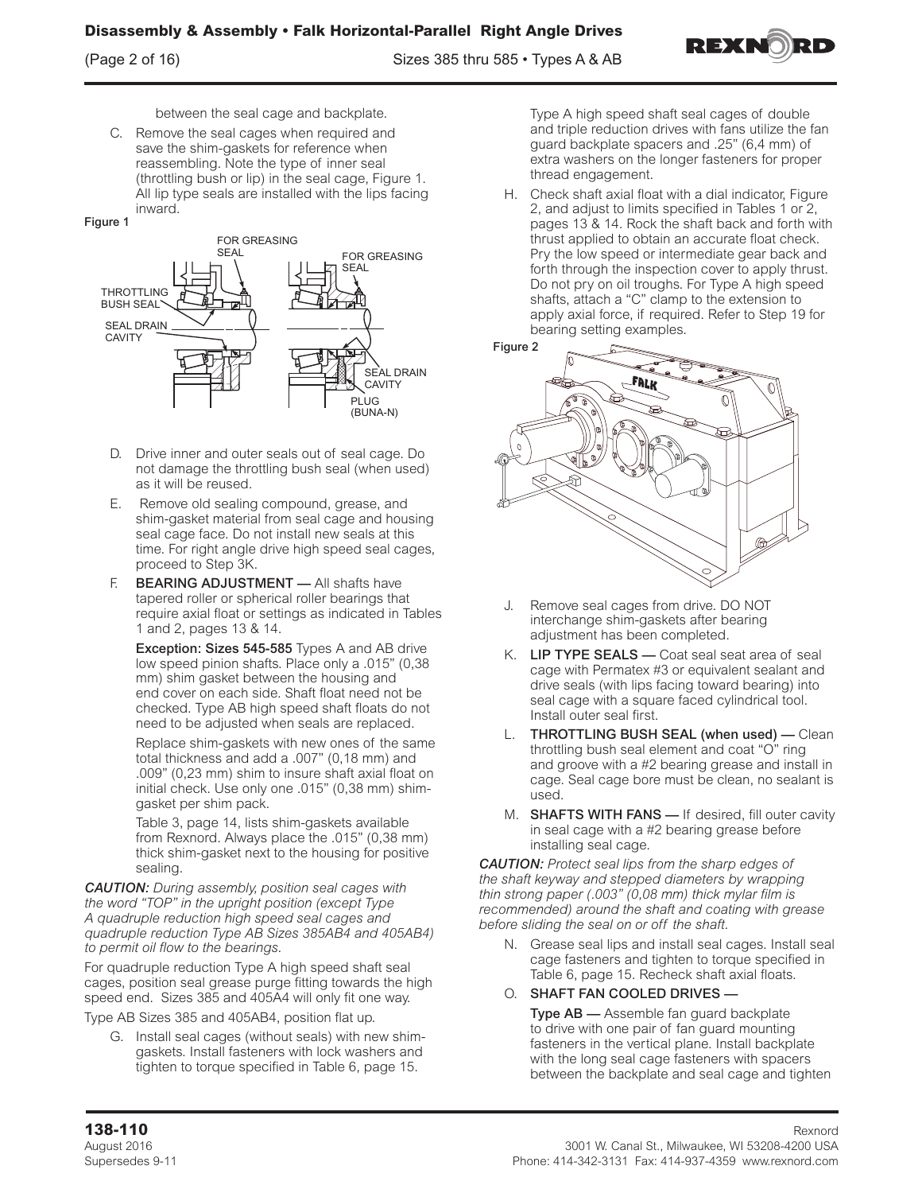

between the seal cage and backplate.

C. Remove the seal cages when required and save the shim-gaskets for reference when reassembling. Note the type of inner seal (throttling bush or lip) in the seal cage, Figure 1. All lip type seals are installed with the lips facing inward.





- D. Drive inner and outer seals out of seal cage. Do not damage the throttling bush seal (when used) as it will be reused.
- E. Remove old sealing compound, grease, and shim-gasket material from seal cage and housing seal cage face. Do not install new seals at this time. For right angle drive high speed seal cages, proceed to Step 3K.
- **BEARING ADJUSTMENT** All shafts have tapered roller or spherical roller bearings that require axial float or settings as indicated in Tables 1 and 2, pages 13 & 14.

Exception: Sizes 545-585 Types A and AB drive low speed pinion shafts. Place only a .015" (0,38 mm) shim gasket between the housing and end cover on each side. Shaft float need not be checked. Type AB high speed shaft floats do not need to be adjusted when seals are replaced.

Replace shim-gaskets with new ones of the same total thickness and add a .007" (0,18 mm) and .009" (0,23 mm) shim to insure shaft axial float on initial check. Use only one .015" (0,38 mm) shimgasket per shim pack.

Table 3, page 14, lists shim-gaskets available from Rexnord. Always place the .015" (0,38 mm) thick shim-gasket next to the housing for positive sealing.

*CAUTION: During assembly, position seal cages with the word "TOP" in the upright position (except Type A quadruple reduction high speed seal cages and quadruple reduction Type AB Sizes 385AB4 and 405AB4) to permit oil flow to the bearings.* 

For quadruple reduction Type A high speed shaft seal cages, position seal grease purge fitting towards the high speed end. Sizes 385 and 405A4 will only fit one way.

Type AB Sizes 385 and 405AB4, position flat up.

G. Install seal cages (without seals) with new shimgaskets. Install fasteners with lock washers and tighten to torque specified in Table 6, page 15.

Type A high speed shaft seal cages of double and triple reduction drives with fans utilize the fan guard backplate spacers and .25" (6,4 mm) of extra washers on the longer fasteners for proper thread engagement.

H. Check shaft axial float with a dial indicator, Figure 2, and adjust to limits specified in Tables 1 or 2, pages 13 & 14. Rock the shaft back and forth with thrust applied to obtain an accurate float check. Pry the low speed or intermediate gear back and forth through the inspection cover to apply thrust. Do not pry on oil troughs. For Type A high speed shafts, attach a "C" clamp to the extension to apply axial force, if required. Refer to Step 19 for bearing setting examples.





- J. Remove seal cages from drive. DO NOT interchange shim-gaskets after bearing adjustment has been completed.
- K. LIP TYPE SEALS Coat seal seat area of seal cage with Permatex #3 or equivalent sealant and drive seals (with lips facing toward bearing) into seal cage with a square faced cylindrical tool. Install outer seal first.
- L. THROTTLING BUSH SEAL (when used) Clean throttling bush seal element and coat "O" ring and groove with a #2 bearing grease and install in cage. Seal cage bore must be clean, no sealant is used.
- M. **SHAFTS WITH FANS** If desired, fill outer cavity in seal cage with a #2 bearing grease before installing seal cage.

*CAUTION: Protect seal lips from the sharp edges of the shaft keyway and stepped diameters by wrapping thin strong paper (.003" (0,08 mm) thick mylar film is recommended) around the shaft and coating with grease before sliding the seal on or off the shaft.*

N. Grease seal lips and install seal cages. Install seal cage fasteners and tighten to torque specified in Table 6, page 15. Recheck shaft axial floats.

## O. SHAFT FAN COOLED DRIVES —

Type AB — Assemble fan guard backplate to drive with one pair of fan guard mounting fasteners in the vertical plane. Install backplate with the long seal cage fasteners with spacers between the backplate and seal cage and tighten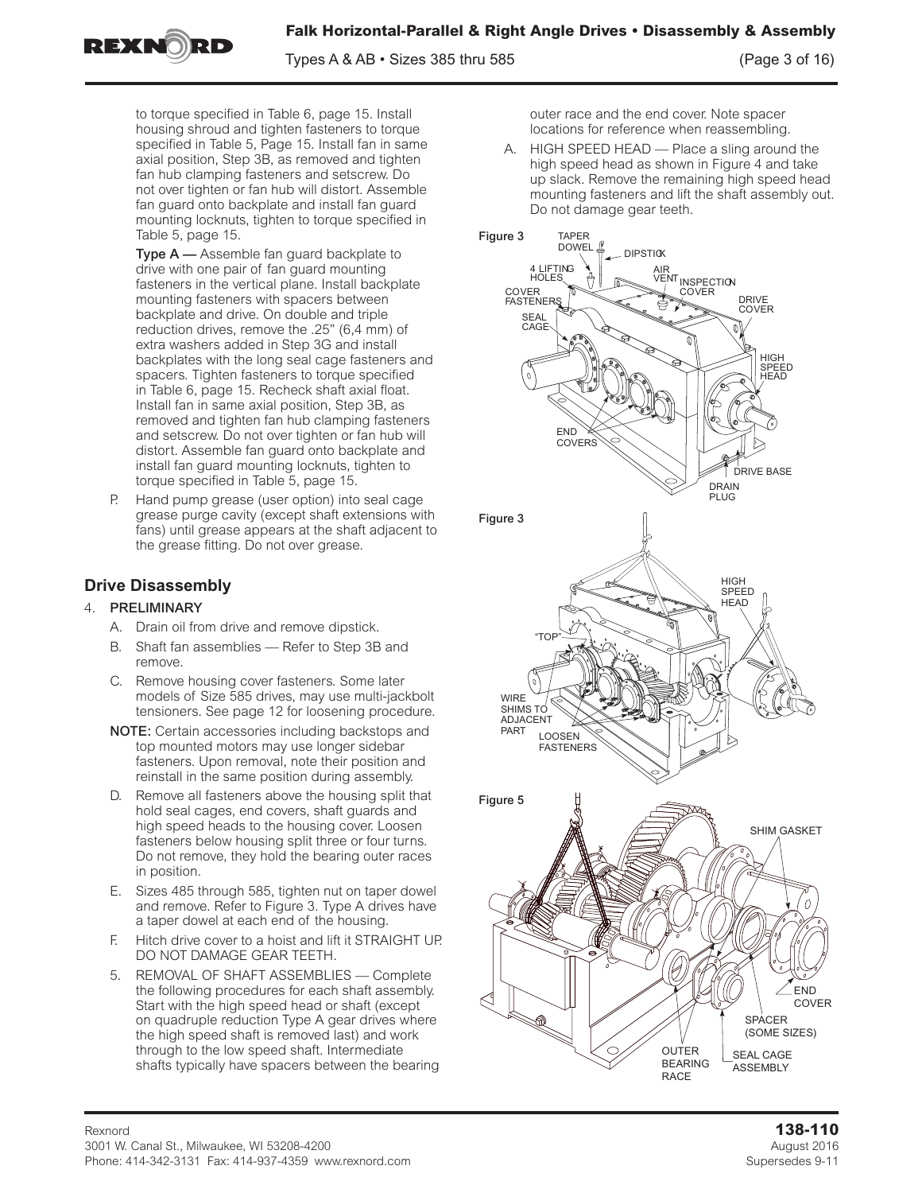**Falk Horizontal-Parallel & Right Angle Drives • Disassembly & Assembly**

REXNORF

Types A & AB • Sizes 385 thru 585 (Page 3 of 16)

to torque specified in Table 6, page 15. Install housing shroud and tighten fasteners to torque specified in Table 5, Page 15. Install fan in same axial position, Step 3B, as removed and tighten fan hub clamping fasteners and setscrew. Do not over tighten or fan hub will distort. Assemble fan guard onto backplate and install fan guard mounting locknuts, tighten to torque specified in Table 5, page 15.

Type A — Assemble fan guard backplate to drive with one pair of fan guard mounting fasteners in the vertical plane. Install backplate mounting fasteners with spacers between backplate and drive. On double and triple reduction drives, remove the .25" (6,4 mm) of extra washers added in Step 3G and install backplates with the long seal cage fasteners and spacers. Tighten fasteners to torque specified in Table 6, page 15. Recheck shaft axial float. Install fan in same axial position, Step 3B, as removed and tighten fan hub clamping fasteners and setscrew. Do not over tighten or fan hub will distort. Assemble fan guard onto backplate and install fan guard mounting locknuts, tighten to torque specified in Table 5, page 15.

Hand pump grease (user option) into seal cage grease purge cavity (except shaft extensions with fans) until grease appears at the shaft adjacent to the grease fitting. Do not over grease.

# **Drive Disassembly**

## 4. PRELIMINARY

- A. Drain oil from drive and remove dipstick.
- B. Shaft fan assemblies Refer to Step 3B and remove.
- C. Remove housing cover fasteners. Some later models of Size 585 drives, may use multi-jackbolt tensioners. See page 12 for loosening procedure.
- NOTE: Certain accessories including backstops and top mounted motors may use longer sidebar fasteners. Upon removal, note their position and reinstall in the same position during assembly.
- D. Remove all fasteners above the housing split that hold seal cages, end covers, shaft guards and high speed heads to the housing cover. Loosen fasteners below housing split three or four turns. Do not remove, they hold the bearing outer races in position.
- E. Sizes 485 through 585, tighten nut on taper dowel and remove. Refer to Figure 3. Type A drives have a taper dowel at each end of the housing.
- F. Hitch drive cover to a hoist and lift it STRAIGHT UP. DO NOT DAMAGE GEAR TEETH.
- 5. REMOVAL OF SHAFT ASSEMBLIES Complete the following procedures for each shaft assembly. Start with the high speed head or shaft (except on quadruple reduction Type A gear drives where the high speed shaft is removed last) and work through to the low speed shaft. Intermediate shafts typically have spacers between the bearing

outer race and the end cover. Note spacer locations for reference when reassembling.

A. HIGH SPEED HEAD — Place a sling around the high speed head as shown in Figure 4 and take up slack. Remove the remaining high speed head mounting fasteners and lift the shaft assembly out. Do not damage gear teeth.

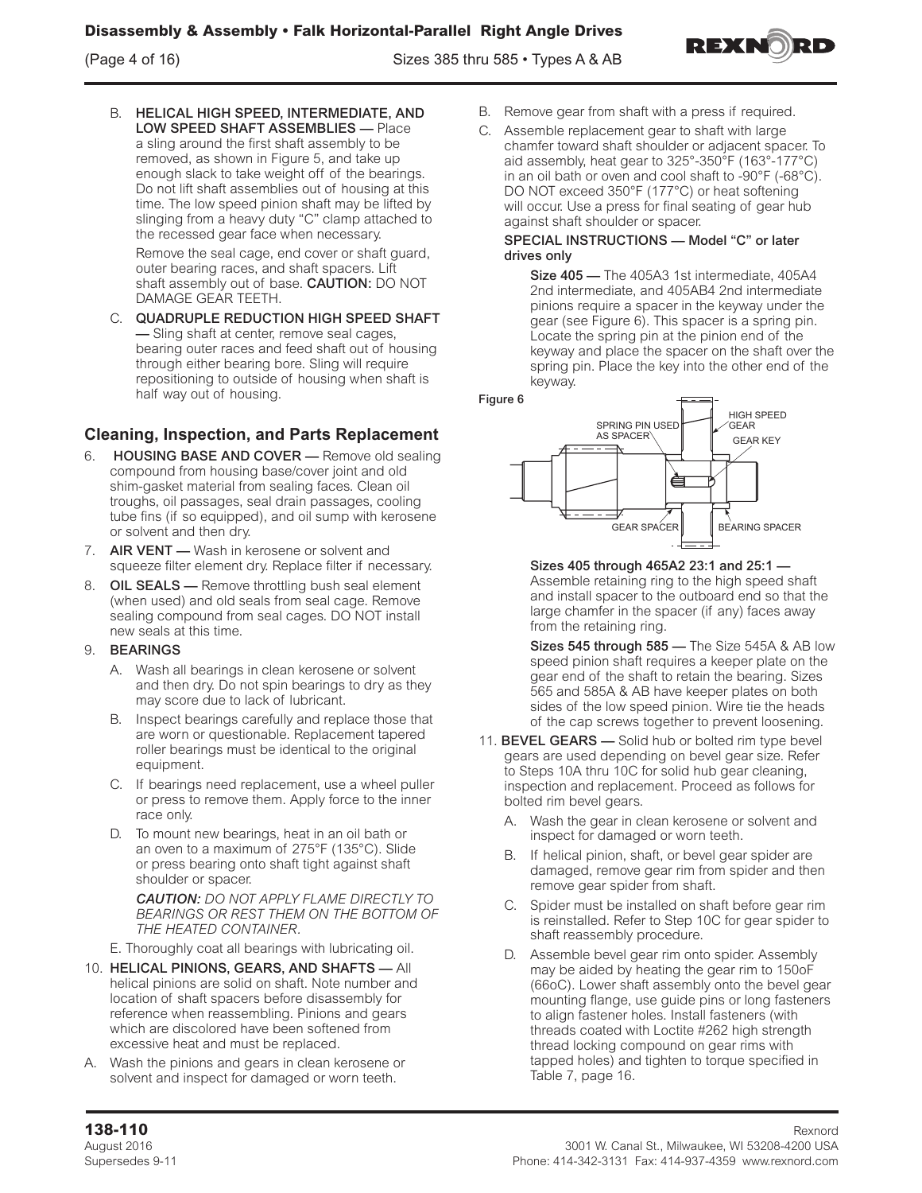

Remove the seal cage, end cover or shaft guard, outer bearing races, and shaft spacers. Lift shaft assembly out of base. CAUTION: DO NOT DAMAGE GEAR TEETH.

C. QUADRUPLE REDUCTION HIGH SPEED SHAFT — Sling shaft at center, remove seal cages, bearing outer races and feed shaft out of housing through either bearing bore. Sling will require repositioning to outside of housing when shaft is half way out of housing.

# **Cleaning, Inspection, and Parts Replacement**

- 6. HOUSING BASE AND COVER Remove old sealing compound from housing base/cover joint and old shim-gasket material from sealing faces. Clean oil troughs, oil passages, seal drain passages, cooling tube fins (if so equipped), and oil sump with kerosene or solvent and then dry.
- 7. **AIR VENT** Wash in kerosene or solvent and squeeze filter element dry. Replace filter if necessary.
- 8. OIL SEALS Remove throttling bush seal element (when used) and old seals from seal cage. Remove sealing compound from seal cages. DO NOT install new seals at this time.

## 9. BEARINGS

- A. Wash all bearings in clean kerosene or solvent and then dry. Do not spin bearings to dry as they may score due to lack of lubricant.
- B. Inspect bearings carefully and replace those that are worn or questionable. Replacement tapered roller bearings must be identical to the original equipment.
- C. If bearings need replacement, use a wheel puller or press to remove them. Apply force to the inner race only.
- D. To mount new bearings, heat in an oil bath or an oven to a maximum of 275°F (135°C). Slide or press bearing onto shaft tight against shaft shoulder or spacer.

*CAUTION: DO NOT APPLY FLAME DIRECTLY TO BEARINGS OR REST THEM ON THE BOTTOM OF THE HEATED CONTAINER.*

E. Thoroughly coat all bearings with lubricating oil.

- 10. HELICAL PINIONS, GEARS, AND SHAFTS All helical pinions are solid on shaft. Note number and location of shaft spacers before disassembly for reference when reassembling. Pinions and gears which are discolored have been softened from excessive heat and must be replaced.
- A. Wash the pinions and gears in clean kerosene or solvent and inspect for damaged or worn teeth.
- B. Remove gear from shaft with a press if required.
- C. Assemble replacement gear to shaft with large chamfer toward shaft shoulder or adjacent spacer. To aid assembly, heat gear to 325°-350°F (163°-177°C) in an oil bath or oven and cool shaft to -90°F (-68°C). DO NOT exceed 350°F (177°C) or heat softening will occur. Use a press for final seating of gear hub against shaft shoulder or spacer.

#### SPECIAL INSTRUCTIONS — Model "C" or later drives only

Size 405 - The 405A3 1st intermediate, 405A4 2nd intermediate, and 405AB4 2nd intermediate pinions require a spacer in the keyway under the gear (see Figure 6). This spacer is a spring pin. Locate the spring pin at the pinion end of the keyway and place the spacer on the shaft over the spring pin. Place the key into the other end of the keyway.



Sizes 405 through 465A2 23:1 and 25:1 — Assemble retaining ring to the high speed shaft and install spacer to the outboard end so that the large chamfer in the spacer (if any) faces away from the retaining ring.

Sizes 545 through 585 — The Size 545A & AB low speed pinion shaft requires a keeper plate on the gear end of the shaft to retain the bearing. Sizes 565 and 585A & AB have keeper plates on both sides of the low speed pinion. Wire tie the heads of the cap screws together to prevent loosening.

- 11. **BEVEL GEARS** Solid hub or bolted rim type bevel gears are used depending on bevel gear size. Refer to Steps 10A thru 10C for solid hub gear cleaning, inspection and replacement. Proceed as follows for bolted rim bevel gears.
	- A. Wash the gear in clean kerosene or solvent and inspect for damaged or worn teeth.
	- B. If helical pinion, shaft, or bevel gear spider are damaged, remove gear rim from spider and then remove gear spider from shaft.
	- C. Spider must be installed on shaft before gear rim is reinstalled. Refer to Step 10C for gear spider to shaft reassembly procedure.
	- D. Assemble bevel gear rim onto spider. Assembly may be aided by heating the gear rim to 150oF (66oC). Lower shaft assembly onto the bevel gear mounting flange, use guide pins or long fasteners to align fastener holes. Install fasteners (with threads coated with Loctite #262 high strength thread locking compound on gear rims with tapped holes) and tighten to torque specified in Table 7, page 16.

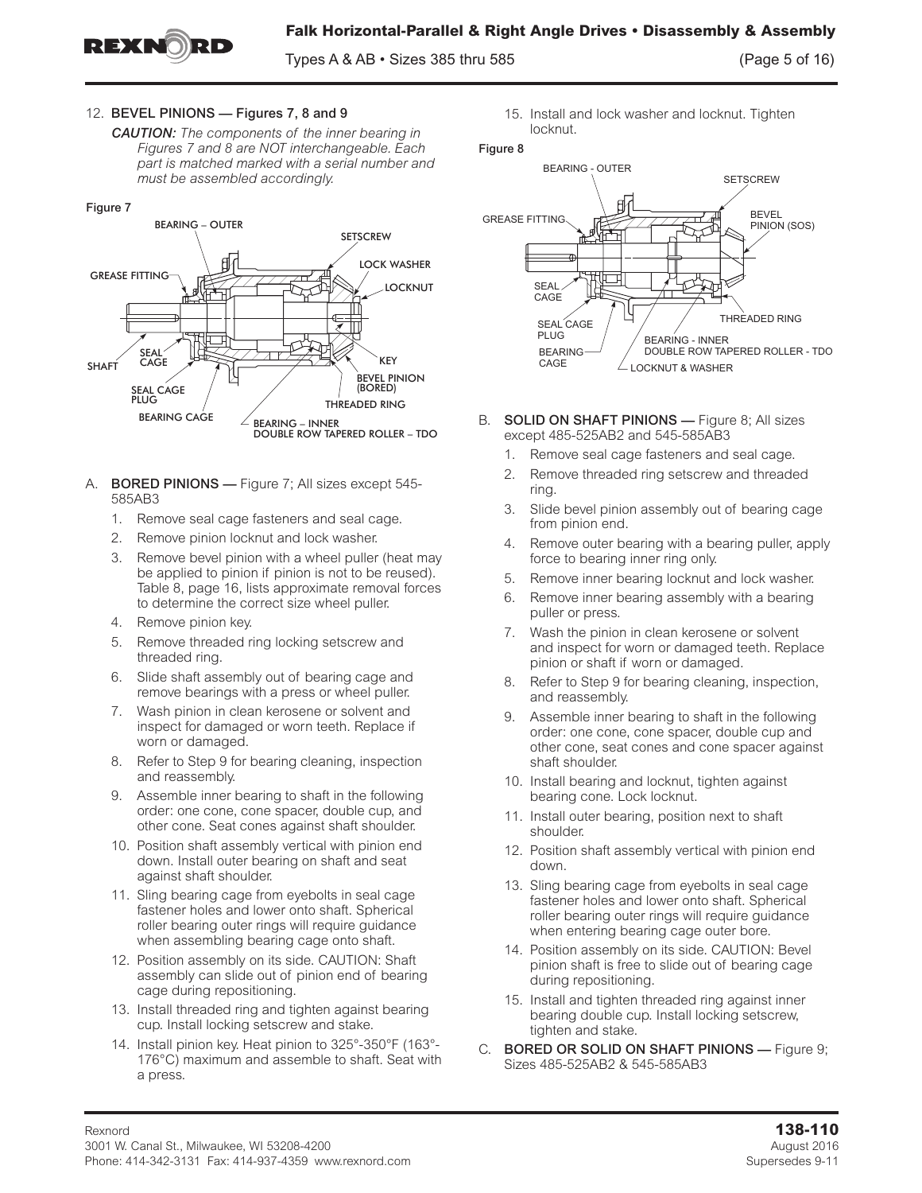

Types  $A \& AB \cdot$  Sizes 385 thru 585 (Page 5 of 16)

## 12. BEVEL PINIONS — Figures 7, 8 and 9

*CAUTION: The components of the inner bearing in Figures 7 and 8 are NOT interchangeable. Each part is matched marked with a serial number and must be assembled accordingly.*

#### Figure 7



- A. **BORED PINIONS** Figure 7; All sizes except 545-585AB3
	- 1. Remove seal cage fasteners and seal cage.
	- 2. Remove pinion locknut and lock washer.
	- 3. Remove bevel pinion with a wheel puller (heat may be applied to pinion if pinion is not to be reused). Table 8, page 16, lists approximate removal forces to determine the correct size wheel puller.
	- 4. Remove pinion key.
	- 5. Remove threaded ring locking setscrew and threaded ring.
	- 6. Slide shaft assembly out of bearing cage and remove bearings with a press or wheel puller.
	- 7. Wash pinion in clean kerosene or solvent and inspect for damaged or worn teeth. Replace if worn or damaged.
	- 8. Refer to Step 9 for bearing cleaning, inspection and reassembly.
	- 9. Assemble inner bearing to shaft in the following order: one cone, cone spacer, double cup, and other cone. Seat cones against shaft shoulder.
	- 10. Position shaft assembly vertical with pinion end down. Install outer bearing on shaft and seat against shaft shoulder.
	- 11. Sling bearing cage from eyebolts in seal cage fastener holes and lower onto shaft. Spherical roller bearing outer rings will require guidance when assembling bearing cage onto shaft.
	- 12. Position assembly on its side. CAUTION: Shaft assembly can slide out of pinion end of bearing cage during repositioning.
	- 13. Install threaded ring and tighten against bearing cup. Install locking setscrew and stake.
	- 14. Install pinion key. Heat pinion to 325°-350°F (163°- 176°C) maximum and assemble to shaft. Seat with a press.

15. Install and lock washer and locknut. Tighten locknut.



- B. SOLID ON SHAFT PINIONS Figure 8; All sizes except 485-525AB2 and 545-585AB3
	- 1. Remove seal cage fasteners and seal cage.
	- 2. Remove threaded ring setscrew and threaded ring.
	- 3. Slide bevel pinion assembly out of bearing cage from pinion end.
	- 4. Remove outer bearing with a bearing puller, apply force to bearing inner ring only.
	- 5. Remove inner bearing locknut and lock washer.
	- 6. Remove inner bearing assembly with a bearing puller or press.
	- 7. Wash the pinion in clean kerosene or solvent and inspect for worn or damaged teeth. Replace pinion or shaft if worn or damaged.
	- 8. Refer to Step 9 for bearing cleaning, inspection, and reassembly.
	- 9. Assemble inner bearing to shaft in the following order: one cone, cone spacer, double cup and other cone, seat cones and cone spacer against shaft shoulder.
	- 10. Install bearing and locknut, tighten against bearing cone. Lock locknut.
	- 11. Install outer bearing, position next to shaft shoulder.
	- 12. Position shaft assembly vertical with pinion end down.
	- 13. Sling bearing cage from eyebolts in seal cage fastener holes and lower onto shaft. Spherical roller bearing outer rings will require guidance when entering bearing cage outer bore.
	- 14. Position assembly on its side. CAUTION: Bevel pinion shaft is free to slide out of bearing cage during repositioning.
	- 15. Install and tighten threaded ring against inner bearing double cup. Install locking setscrew, tighten and stake.
- C. BORED OR SOLID ON SHAFT PINIONS Figure 9; Sizes 485-525AB2 & 545-585AB3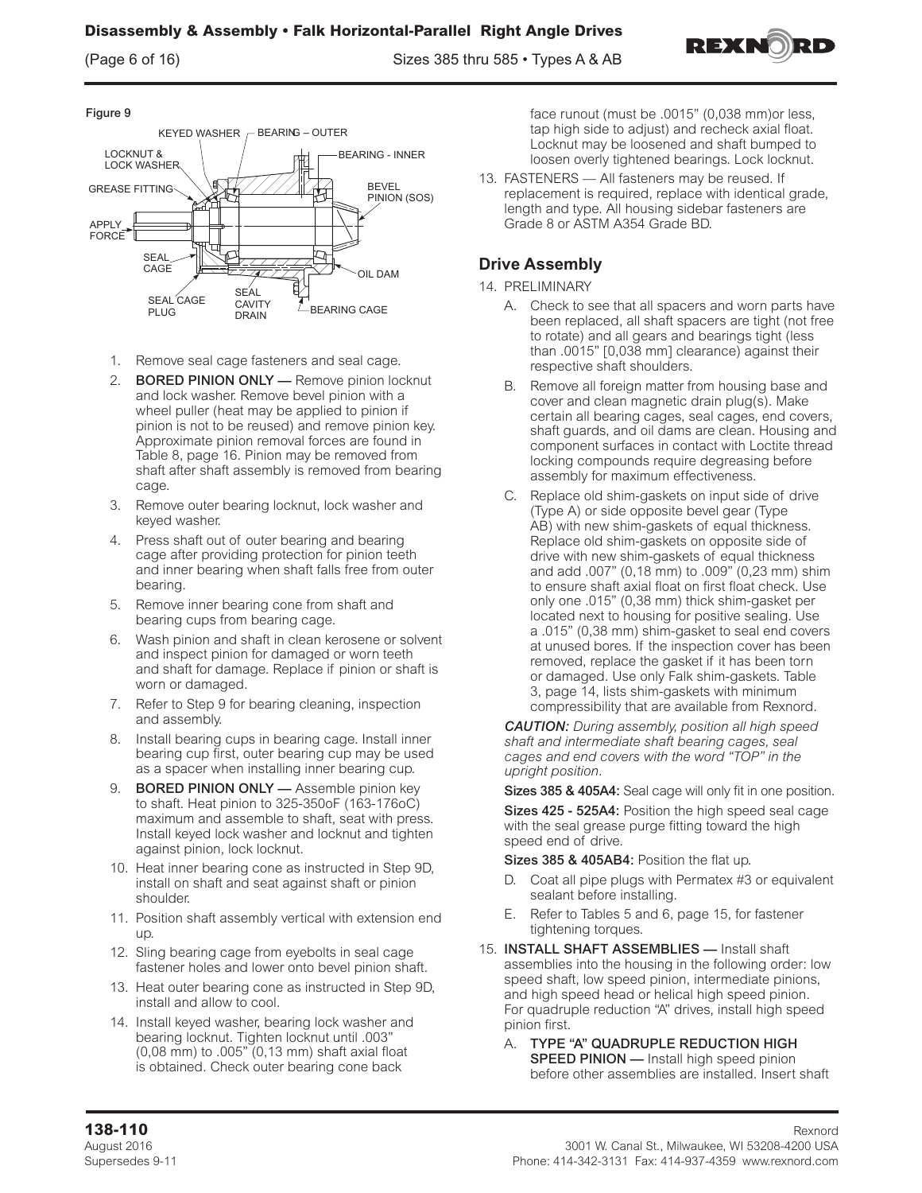(Page 6 of 16) Sizes 385 thru 585 • Types A & AB



### Figure 9



- 1. Remove seal cage fasteners and seal cage.
- 2. BORED PINION ONLY Remove pinion locknut and lock washer. Remove bevel pinion with a wheel puller (heat may be applied to pinion if pinion is not to be reused) and remove pinion key. Approximate pinion removal forces are found in Table 8, page 16. Pinion may be removed from shaft after shaft assembly is removed from bearing cage.
- 3. Remove outer bearing locknut, lock washer and keyed washer.
- 4. Press shaft out of outer bearing and bearing cage after providing protection for pinion teeth and inner bearing when shaft falls free from outer bearing.
- 5. Remove inner bearing cone from shaft and bearing cups from bearing cage.
- 6. Wash pinion and shaft in clean kerosene or solvent and inspect pinion for damaged or worn teeth and shaft for damage. Replace if pinion or shaft is worn or damaged.
- 7. Refer to Step 9 for bearing cleaning, inspection and assembly.
- 8. Install bearing cups in bearing cage. Install inner bearing cup first, outer bearing cup may be used as a spacer when installing inner bearing cup.
- 9. BORED PINION ONLY Assemble pinion key to shaft. Heat pinion to 325-350oF (163-176oC) maximum and assemble to shaft, seat with press. Install keyed lock washer and locknut and tighten against pinion, lock locknut.
- 10. Heat inner bearing cone as instructed in Step 9D, install on shaft and seat against shaft or pinion shoulder.
- 11. Position shaft assembly vertical with extension end up.
- 12. Sling bearing cage from eyebolts in seal cage fastener holes and lower onto bevel pinion shaft.
- 13. Heat outer bearing cone as instructed in Step 9D, install and allow to cool.
- 14. Install keyed washer, bearing lock washer and bearing locknut. Tighten locknut until .003" (0,08 mm) to .005" (0,13 mm) shaft axial float is obtained. Check outer bearing cone back

face runout (must be .0015" (0,038 mm)or less, tap high side to adjust) and recheck axial float. Locknut may be loosened and shaft bumped to loosen overly tightened bearings. Lock locknut.

13. FASTENERS — All fasteners may be reused. If replacement is required, replace with identical grade, length and type. All housing sidebar fasteners are Grade 8 or ASTM A354 Grade BD.

# **Drive Assembly**

### 14. PRELIMINARY

- A. Check to see that all spacers and worn parts have been replaced, all shaft spacers are tight (not free to rotate) and all gears and bearings tight (less than .0015" [0,038 mm] clearance) against their respective shaft shoulders.
- B. Remove all foreign matter from housing base and cover and clean magnetic drain plug(s). Make certain all bearing cages, seal cages, end covers, shaft guards, and oil dams are clean. Housing and component surfaces in contact with Loctite thread locking compounds require degreasing before assembly for maximum effectiveness.
- C. Replace old shim-gaskets on input side of drive (Type A) or side opposite bevel gear (Type AB) with new shim-gaskets of equal thickness. Replace old shim-gaskets on opposite side of drive with new shim-gaskets of equal thickness and add .007" (0,18 mm) to .009" (0,23 mm) shim to ensure shaft axial float on first float check. Use only one .015" (0,38 mm) thick shim-gasket per located next to housing for positive sealing. Use a .015" (0,38 mm) shim-gasket to seal end covers at unused bores. If the inspection cover has been removed, replace the gasket if it has been torn or damaged. Use only Falk shim-gaskets. Table 3, page 14, lists shim-gaskets with minimum compressibility that are available from Rexnord.

*CAUTION: During assembly, position all high speed shaft and intermediate shaft bearing cages, seal cages and end covers with the word "TOP" in the upright position.*

Sizes 385 & 405A4: Seal cage will only fit in one position.

Sizes 425 - 525A4: Position the high speed seal cage with the seal grease purge fitting toward the high speed end of drive.

Sizes 385 & 405AB4: Position the flat up.

- Coat all pipe plugs with Permatex #3 or equivalent sealant before installing.
- E. Refer to Tables 5 and 6, page 15, for fastener tightening torques.
- 15. INSTALL SHAFT ASSEMBLIES Install shaft assemblies into the housing in the following order: low speed shaft, low speed pinion, intermediate pinions, and high speed head or helical high speed pinion. For quadruple reduction "A" drives, install high speed pinion first.
	- A. TYPE "A" QUADRUPLE REDUCTION HIGH SPEED PINION - Install high speed pinion before other assemblies are installed. Insert shaft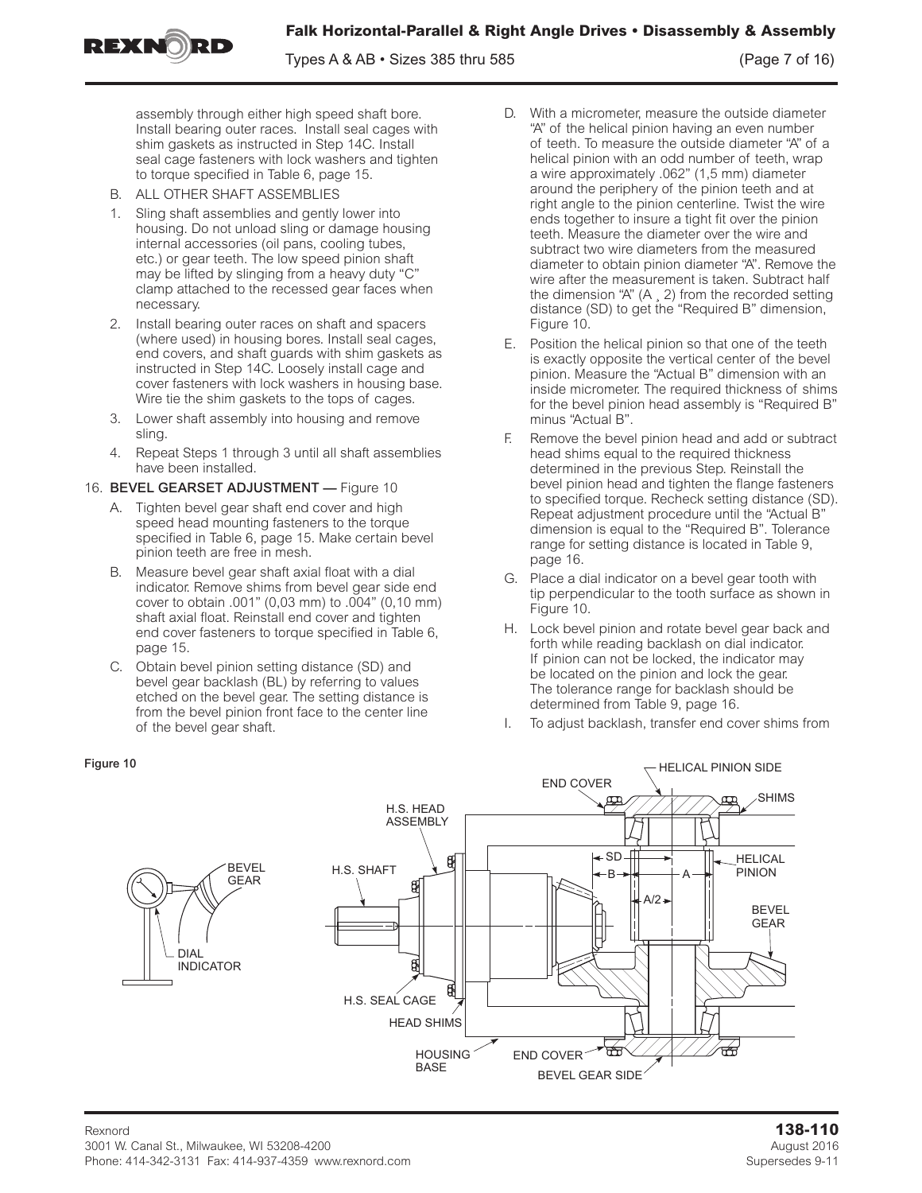**Falk Horizontal-Parallel & Right Angle Drives • Disassembly & Assembly**

Types A & AB • Sizes 385 thru 585 (Page 7 of 16)

assembly through either high speed shaft bore. Install bearing outer races. Install seal cages with shim gaskets as instructed in Step 14C. Install seal cage fasteners with lock washers and tighten to torque specified in Table 6, page 15.

B. ALL OTHER SHAFT ASSEMBLIES

REXNORD

- 1. Sling shaft assemblies and gently lower into housing. Do not unload sling or damage housing internal accessories (oil pans, cooling tubes, etc.) or gear teeth. The low speed pinion shaft may be lifted by slinging from a heavy duty "C" clamp attached to the recessed gear faces when necessary.
- 2. Install bearing outer races on shaft and spacers (where used) in housing bores. Install seal cages, end covers, and shaft guards with shim gaskets as instructed in Step 14C. Loosely install cage and cover fasteners with lock washers in housing base. Wire tie the shim gaskets to the tops of cages.
- 3. Lower shaft assembly into housing and remove sling.
- 4. Repeat Steps 1 through 3 until all shaft assemblies have been installed.

### 16. BEVEL GEARSET ADJUSTMENT — Figure 10

- A. Tighten bevel gear shaft end cover and high speed head mounting fasteners to the torque specified in Table 6, page 15. Make certain bevel pinion teeth are free in mesh.
- B. Measure bevel gear shaft axial float with a dial indicator. Remove shims from bevel gear side end cover to obtain .001" (0,03 mm) to .004" (0,10 mm) shaft axial float. Reinstall end cover and tighten end cover fasteners to torque specified in Table 6, page 15.
- C. Obtain bevel pinion setting distance (SD) and bevel gear backlash (BL) by referring to values etched on the bevel gear. The setting distance is from the bevel pinion front face to the center line of the bevel gear shaft.
- D. With a micrometer, measure the outside diameter "A" of the helical pinion having an even number of teeth. To measure the outside diameter "A" of a helical pinion with an odd number of teeth, wrap a wire approximately .062" (1,5 mm) diameter around the periphery of the pinion teeth and at right angle to the pinion centerline. Twist the wire ends together to insure a tight fit over the pinion teeth. Measure the diameter over the wire and subtract two wire diameters from the measured diameter to obtain pinion diameter "A". Remove the wire after the measurement is taken. Subtract half the dimension "A" (A ¸ 2) from the recorded setting distance (SD) to get the "Required B" dimension, Figure 10.
- E. Position the helical pinion so that one of the teeth is exactly opposite the vertical center of the bevel pinion. Measure the "Actual B" dimension with an inside micrometer. The required thickness of shims for the bevel pinion head assembly is "Required B" minus "Actual B".
- F. Remove the bevel pinion head and add or subtract head shims equal to the required thickness determined in the previous Step. Reinstall the bevel pinion head and tighten the flange fasteners to specified torque. Recheck setting distance (SD). Repeat adjustment procedure until the "Actual B" dimension is equal to the "Required B". Tolerance range for setting distance is located in Table 9, page 16.
- G. Place a dial indicator on a bevel gear tooth with tip perpendicular to the tooth surface as shown in Figure 10.
- H. Lock bevel pinion and rotate bevel gear back and forth while reading backlash on dial indicator. If pinion can not be locked, the indicator may be located on the pinion and lock the gear. The tolerance range for backlash should be determined from Table 9, page 16.
- To adjust backlash, transfer end cover shims from

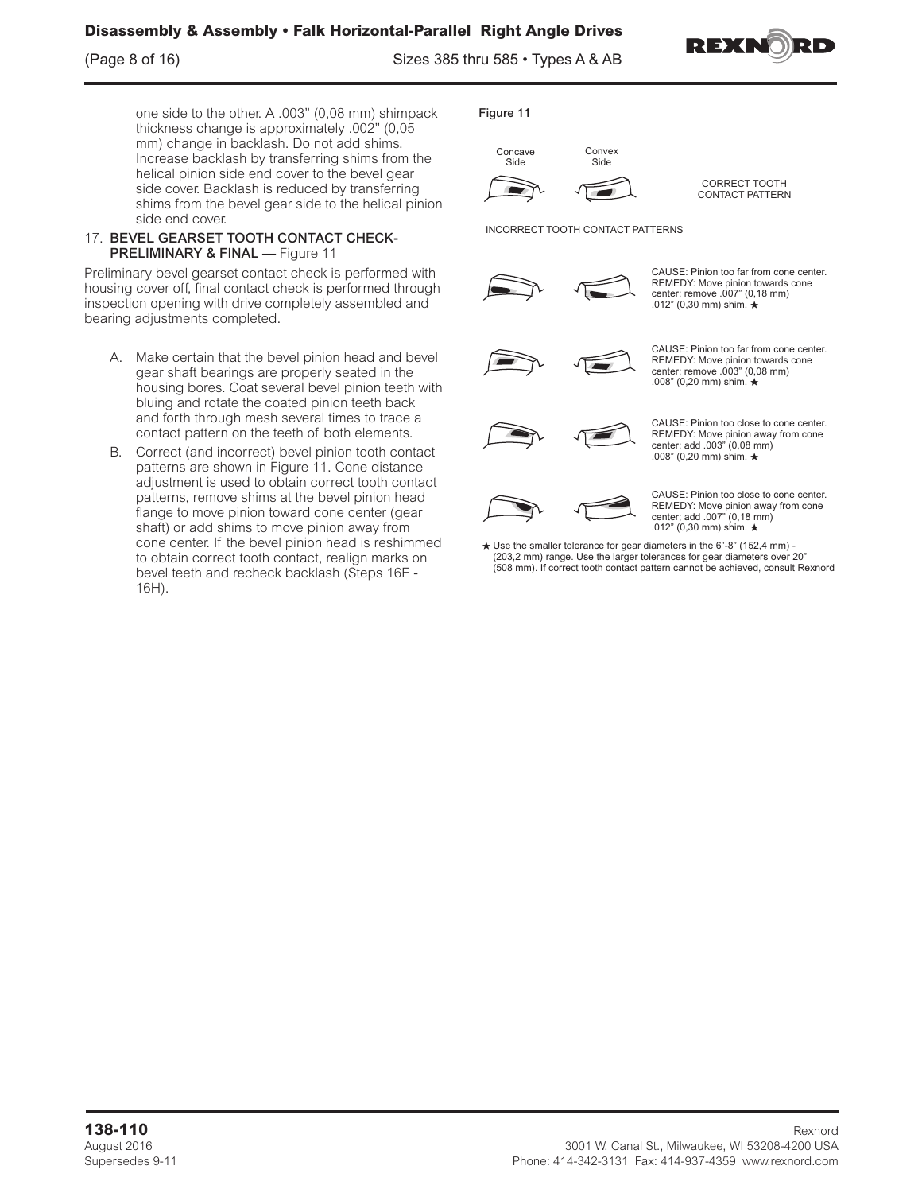(Page 8 of 16) Sizes 385 thru 585 • Types A & AB



one side to the other. A .003" (0,08 mm) shimpack thickness change is approximately .002" (0,05 mm) change in backlash. Do not add shims. Increase backlash by transferring shims from the helical pinion side end cover to the bevel gear side cover. Backlash is reduced by transferring shims from the bevel gear side to the helical pinion side end cover.

### 17. BEVEL GEARSET TOOTH CONTACT CHECK-PRELIMINARY & FINAL — Figure 11

Preliminary bevel gearset contact check is performed with housing cover off, final contact check is performed through inspection opening with drive completely assembled and bearing adjustments completed.

- A. Make certain that the bevel pinion head and bevel gear shaft bearings are properly seated in the housing bores. Coat several bevel pinion teeth with bluing and rotate the coated pinion teeth back and forth through mesh several times to trace a contact pattern on the teeth of both elements.
- B. Correct (and incorrect) bevel pinion tooth contact patterns are shown in Figure 11. Cone distance adjustment is used to obtain correct tooth contact patterns, remove shims at the bevel pinion head flange to move pinion toward cone center (gear shaft) or add shims to move pinion away from cone center. If the bevel pinion head is reshimmed to obtain correct tooth contact, realign marks on bevel teeth and recheck backlash (Steps 16E - 16H).

Figure 11



CORRECT TOOTH

CONTACT PATTERN

INCORRECT TOOTH CONTACT PATTERNS



CAUSE: Pinion too far from cone center. REMEDY: Move pinion towards cone center; remove .007" (0,18 mm) .012" (0,30 mm) shim.



CAUSE: Pinion too far from cone center. REMEDY: Move pinion towards cone center; remove .003" (0,08 mm) .008" (0,20 mm) shim.



CAUSE: Pinion too close to cone center. REMEDY: Move pinion away from cone center; add .003" (0,08 mm) .008" (0,20 mm) shim.



CAUSE: Pinion too close to cone center. REMEDY: Move pinion away from cone center; add .007" (0,18 mm) .012" (0,30 mm) shim.

 $\star$  Use the smaller tolerance for gear diameters in the 6"-8" (152,4 mm) - (203,2 mm) range. Use the larger tolerances for gear diameters over 20" (508 mm). If correct tooth contact pattern cannot be achieved, consult Rexnord.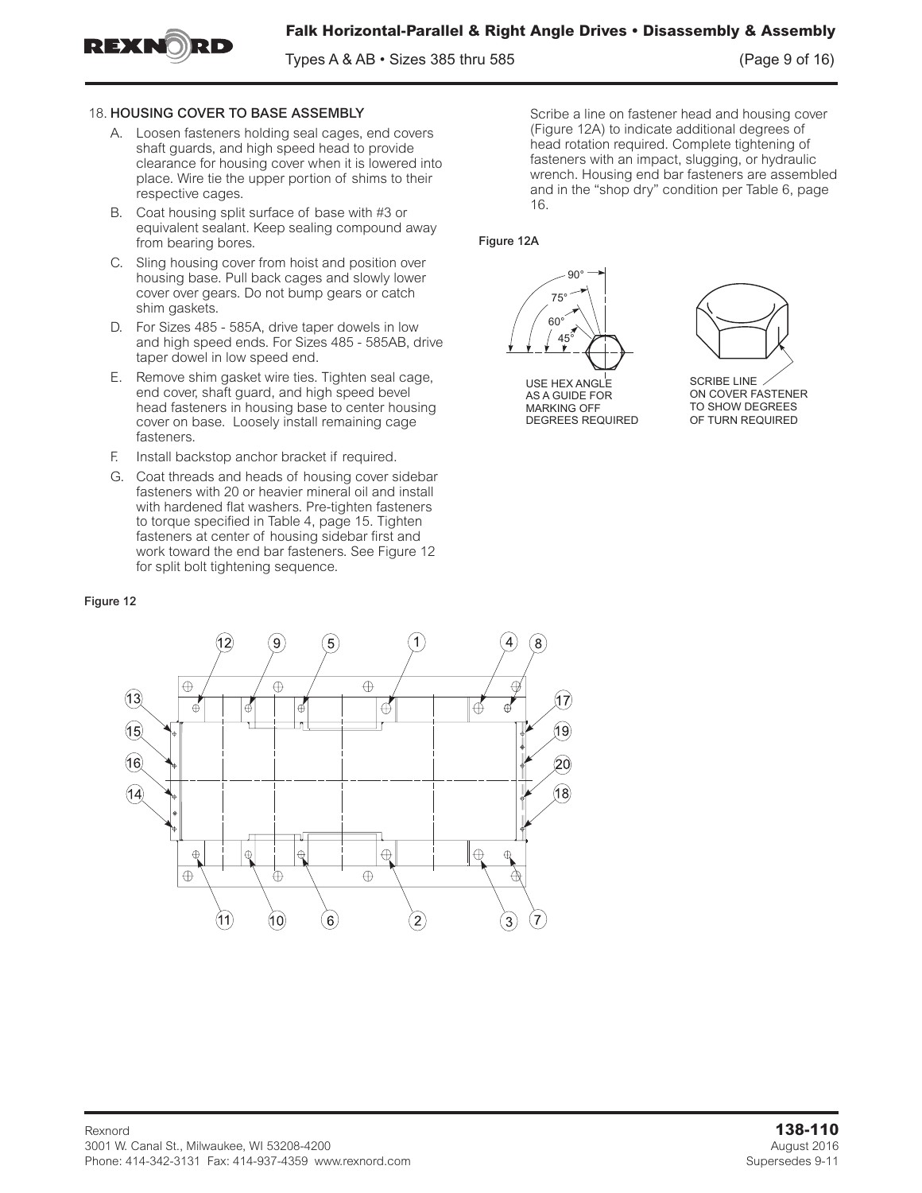

Types A & AB • Sizes 385 thru 585 (Page 9 of 16)



EXTEN

- A. Loosen fasteners holding seal cages, end covers shaft guards, and high speed head to provide clearance for housing cover when it is lowered into place. Wire tie the upper portion of shims to their respective cages.
- B. Coat housing split surface of base with #3 or equivalent sealant. Keep sealing compound away from bearing bores.
- C. Sling housing cover from hoist and position over housing base. Pull back cages and slowly lower cover over gears. Do not bump gears or catch shim gaskets.
- D. For Sizes 485 585A, drive taper dowels in low and high speed ends. For Sizes 485 - 585AB, drive taper dowel in low speed end.
- E. Remove shim gasket wire ties. Tighten seal cage, end cover, shaft guard, and high speed bevel head fasteners in housing base to center housing cover on base. Loosely install remaining cage fasteners.
- F. Install backstop anchor bracket if required.
- G. Coat threads and heads of housing cover sidebar fasteners with 20 or heavier mineral oil and install with hardened flat washers. Pre-tighten fasteners to torque specified in Table 4, page 15. Tighten fasteners at center of housing sidebar first and work toward the end bar fasteners. See Figure 12 for split bolt tightening sequence.

#### Figure 12



Scribe a line on fastener head and housing cover (Figure 12A) to indicate additional degrees of head rotation required. Complete tightening of fasteners with an impact, slugging, or hydraulic wrench. Housing end bar fasteners are assembled and in the "shop dry" condition per Table 6, page 16.

#### Figure 12A



**USE HEX ANGLE** AS A GUIDE FOR MARKING OFF DEGREES REQUIRED



SCRIBE LINE ON COVER FASTENER TO SHOW DEGREES OF TURN REQUIRED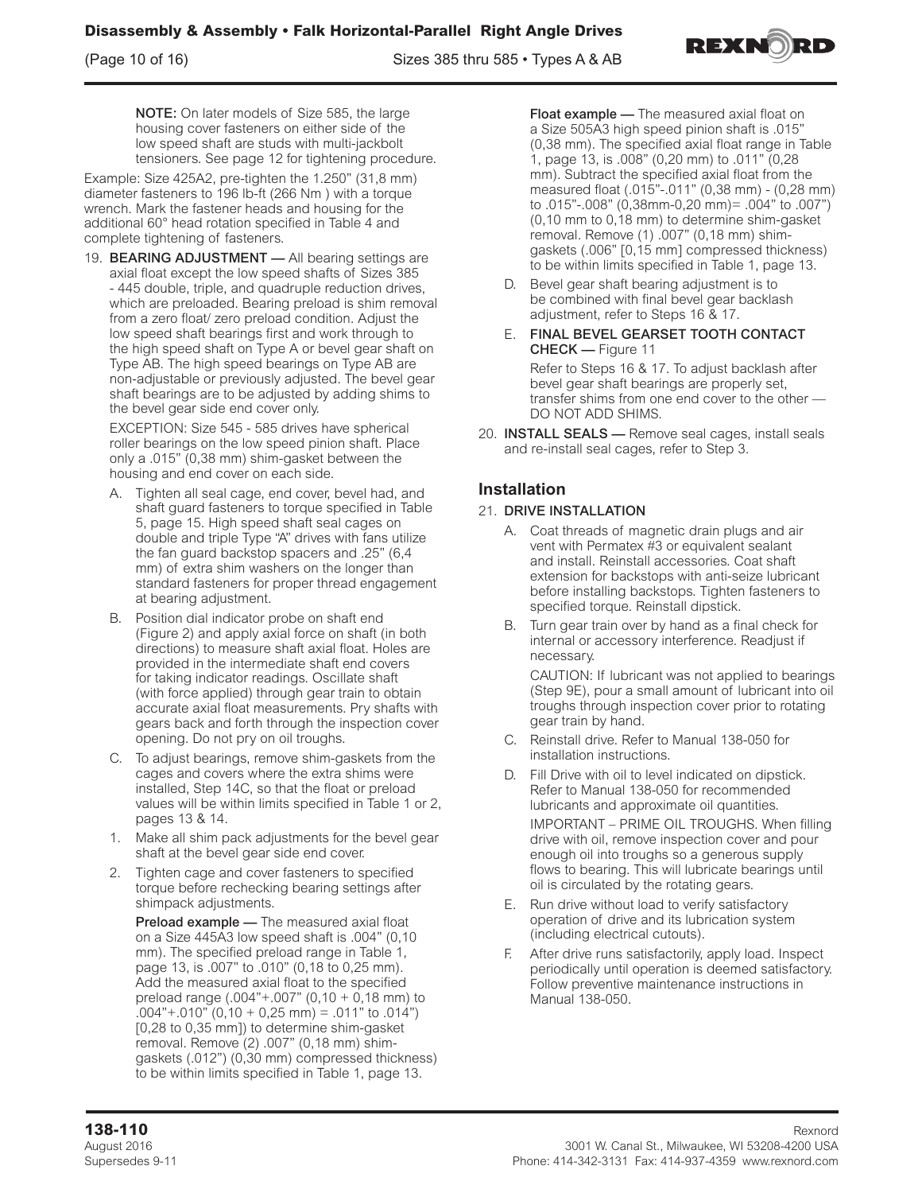(Page 10 of 16) Sizes 385 thru 585 • Types A & AB



NOTE: On later models of Size 585, the large housing cover fasteners on either side of the low speed shaft are studs with multi-jackbolt tensioners. See page 12 for tightening procedure.

Example: Size 425A2, pre-tighten the 1.250" (31,8 mm) diameter fasteners to 196 lb-ft (266 Nm ) with a torque wrench. Mark the fastener heads and housing for the additional 60° head rotation specified in Table 4 and complete tightening of fasteners.

19. BEARING ADJUSTMENT - All bearing settings are axial float except the low speed shafts of Sizes 385 - 445 double, triple, and quadruple reduction drives, which are preloaded. Bearing preload is shim removal from a zero float/ zero preload condition. Adjust the low speed shaft bearings first and work through to the high speed shaft on Type A or bevel gear shaft on Type AB. The high speed bearings on Type AB are non-adjustable or previously adjusted. The bevel gear shaft bearings are to be adjusted by adding shims to the bevel gear side end cover only.

EXCEPTION: Size 545 - 585 drives have spherical roller bearings on the low speed pinion shaft. Place only a .015" (0,38 mm) shim-gasket between the housing and end cover on each side.

- A. Tighten all seal cage, end cover, bevel had, and shaft guard fasteners to torque specified in Table 5, page 15. High speed shaft seal cages on double and triple Type "A" drives with fans utilize the fan guard backstop spacers and .25" (6,4 mm) of extra shim washers on the longer than standard fasteners for proper thread engagement at bearing adjustment.
- B. Position dial indicator probe on shaft end (Figure 2) and apply axial force on shaft (in both directions) to measure shaft axial float. Holes are provided in the intermediate shaft end covers for taking indicator readings. Oscillate shaft (with force applied) through gear train to obtain accurate axial float measurements. Pry shafts with gears back and forth through the inspection cover opening. Do not pry on oil troughs.
- C. To adjust bearings, remove shim-gaskets from the cages and covers where the extra shims were installed, Step 14C, so that the float or preload values will be within limits specified in Table 1 or 2, pages 13 & 14.
- 1. Make all shim pack adjustments for the bevel gear shaft at the bevel gear side end cover.
- 2. Tighten cage and cover fasteners to specified torque before rechecking bearing settings after shimpack adjustments.

**Preload example -** The measured axial float on a Size 445A3 low speed shaft is .004" (0,10 mm). The specified preload range in Table 1, page 13, is .007" to .010" (0,18 to 0,25 mm). Add the measured axial float to the specified preload range (.004"+.007" (0,10 + 0,18 mm) to .004"+.010" (0,10 + 0,25 mm) = .011" to .014") [0,28 to 0,35 mm]) to determine shim-gasket removal. Remove (2) .007" (0,18 mm) shimgaskets (.012") (0,30 mm) compressed thickness) to be within limits specified in Table 1, page 13.

Float example — The measured axial float on a Size 505A3 high speed pinion shaft is .015" (0,38 mm). The specified axial float range in Table 1, page 13, is .008" (0,20 mm) to .011" (0,28 mm). Subtract the specified axial float from the measured float (.015"-.011" (0,38 mm) - (0,28 mm) to .015"-.008" (0,38mm-0,20 mm)= .004" to .007") (0,10 mm to 0,18 mm) to determine shim-gasket removal. Remove (1) .007" (0,18 mm) shimgaskets (.006" [0,15 mm] compressed thickness) to be within limits specified in Table 1, page 13.

- D. Bevel gear shaft bearing adjustment is to be combined with final bevel gear backlash adjustment, refer to Steps 16 & 17.
- E. FINAL BEVEL GEARSET TOOTH CONTACT CHECK — Figure 11

Refer to Steps 16 & 17. To adjust backlash after bevel gear shaft bearings are properly set, transfer shims from one end cover to the other — DO NOT ADD SHIMS.

20. **INSTALL SEALS** - Remove seal cages, install seals and re-install seal cages, refer to Step 3.

# **Installation**

## 21. DRIVE INSTALLATION

- A. Coat threads of magnetic drain plugs and air vent with Permatex #3 or equivalent sealant and install. Reinstall accessories. Coat shaft extension for backstops with anti-seize lubricant before installing backstops. Tighten fasteners to specified torque. Reinstall dipstick.
- B. Turn gear train over by hand as a final check for internal or accessory interference. Readjust if necessary.

CAUTION: If lubricant was not applied to bearings (Step 9E), pour a small amount of lubricant into oil troughs through inspection cover prior to rotating gear train by hand.

- C. Reinstall drive. Refer to Manual 138-050 for installation instructions.
- Fill Drive with oil to level indicated on dipstick. Refer to Manual 138-050 for recommended lubricants and approximate oil quantities. IMPORTANT – PRIME OIL TROUGHS. When filling drive with oil, remove inspection cover and pour enough oil into troughs so a generous supply flows to bearing. This will lubricate bearings until oil is circulated by the rotating gears.
- E. Run drive without load to verify satisfactory operation of drive and its lubrication system (including electrical cutouts).
- F. After drive runs satisfactorily, apply load. Inspect periodically until operation is deemed satisfactory. Follow preventive maintenance instructions in Manual 138-050.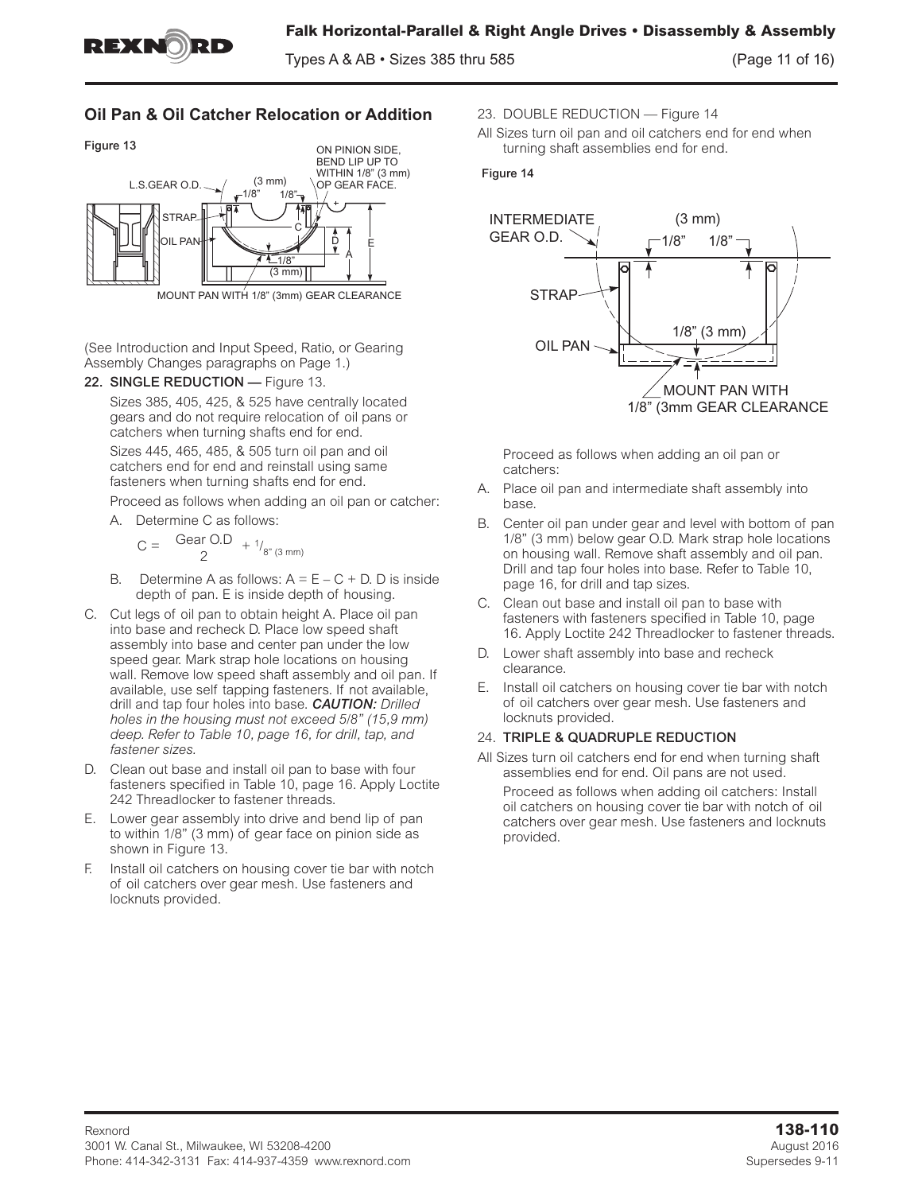

Types A & AB • Sizes 385 thru 585 (Page 11 of 16)

# **Oil Pan & Oil Catcher Relocation or Addition**



(See Introduction and Input Speed, Ratio, or Gearing Assembly Changes paragraphs on Page 1.)

22. SINGLE REDUCTION - Figure 13.

Sizes 385, 405, 425, & 525 have centrally located gears and do not require relocation of oil pans or catchers when turning shafts end for end. Sizes 445, 465, 485, & 505 turn oil pan and oil catchers end for end and reinstall using same fasteners when turning shafts end for end.

Proceed as follows when adding an oil pan or catcher:

A. Determine C as follows:

 $C = \frac{1}{2} \text{ Gen } O.D + \frac{1}{8^{m} (3 \text{ mm})}$ 

- B. Determine A as follows:  $A = E C + D$ . D is inside depth of pan. E is inside depth of housing.
- C. Cut legs of oil pan to obtain height A. Place oil pan into base and recheck D. Place low speed shaft assembly into base and center pan under the low speed gear. Mark strap hole locations on housing wall. Remove low speed shaft assembly and oil pan. If available, use self tapping fasteners. If not available, drill and tap four holes into base. *CAUTION: Drilled holes in the housing must not exceed 5/8" (15,9 mm) deep. Refer to Table 10, page 16, for drill, tap, and fastener sizes.*
- D. Clean out base and install oil pan to base with four fasteners specified in Table 10, page 16. Apply Loctite 242 Threadlocker to fastener threads.
- E. Lower gear assembly into drive and bend lip of pan to within 1/8" (3 mm) of gear face on pinion side as shown in Figure 13.
- F. Install oil catchers on housing cover tie bar with notch of oil catchers over gear mesh. Use fasteners and locknuts provided.
- 23. DOUBLE REDUCTION Figure 14
- All Sizes turn oil pan and oil catchers end for end when turning shaft assemblies end for end.

#### Figure 14



Proceed as follows when adding an oil pan or catchers:

- A. Place oil pan and intermediate shaft assembly into base.
- B. Center oil pan under gear and level with bottom of pan 1/8" (3 mm) below gear O.D. Mark strap hole locations on housing wall. Remove shaft assembly and oil pan. Drill and tap four holes into base. Refer to Table 10, page 16, for drill and tap sizes.
- C. Clean out base and install oil pan to base with fasteners with fasteners specified in Table 10, page 16. Apply Loctite 242 Threadlocker to fastener threads.
- D. Lower shaft assembly into base and recheck clearance.
- E. Install oil catchers on housing cover tie bar with notch of oil catchers over gear mesh. Use fasteners and locknuts provided.

## 24. TRIPLE & QUADRUPLE REDUCTION

provided.

All Sizes turn oil catchers end for end when turning shaft assemblies end for end. Oil pans are not used. Proceed as follows when adding oil catchers: Install oil catchers on housing cover tie bar with notch of oil catchers over gear mesh. Use fasteners and locknuts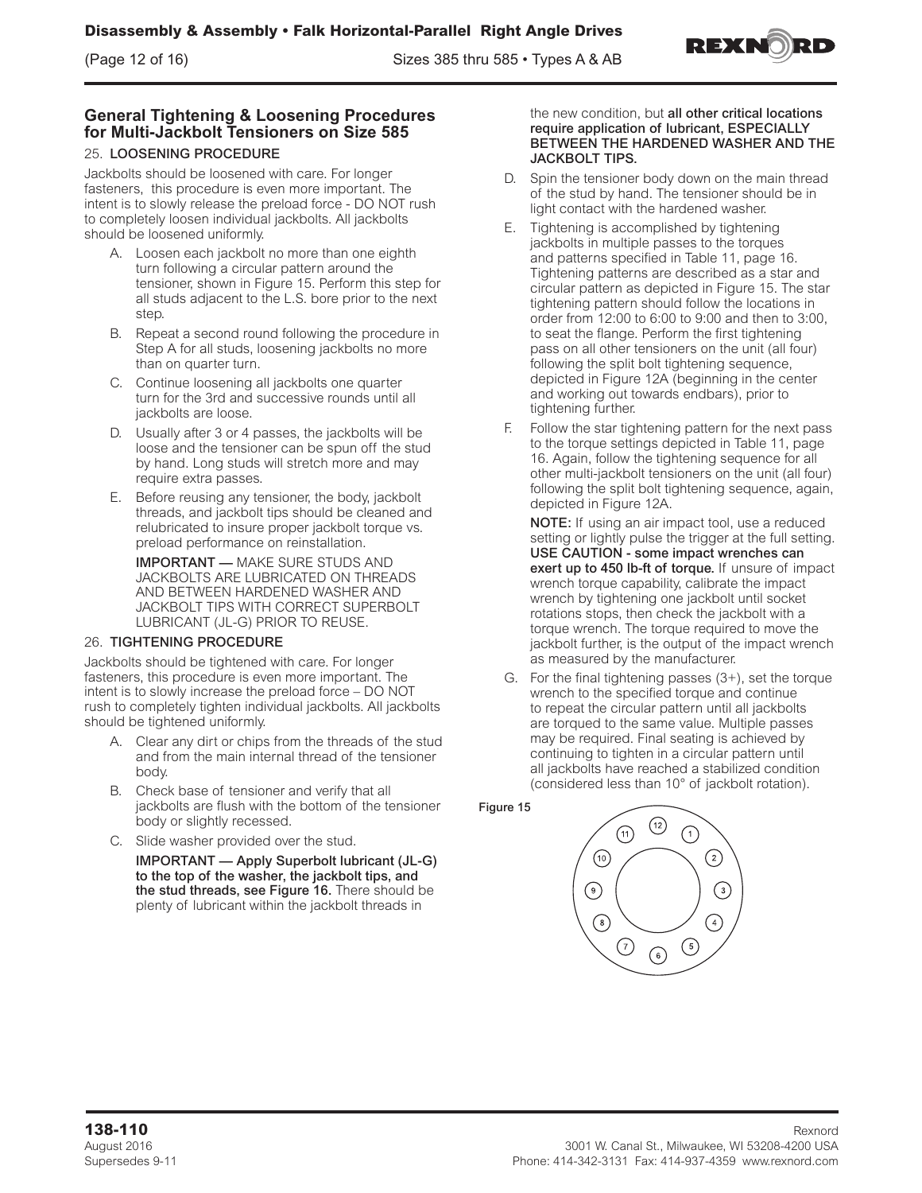

## **General Tightening & Loosening Procedures for Multi-Jackbolt Tensioners on Size 585**

## 25. LOOSENING PROCEDURE

Jackbolts should be loosened with care. For longer fasteners, this procedure is even more important. The intent is to slowly release the preload force - DO NOT rush to completely loosen individual jackbolts. All jackbolts should be loosened uniformly.

- A. Loosen each jackbolt no more than one eighth turn following a circular pattern around the tensioner, shown in Figure 15. Perform this step for all studs adjacent to the L.S. bore prior to the next step.
- B. Repeat a second round following the procedure in Step A for all studs, loosening jackbolts no more than on quarter turn.
- C. Continue loosening all jackbolts one quarter turn for the 3rd and successive rounds until all jackbolts are loose.
- D. Usually after 3 or 4 passes, the jackbolts will be loose and the tensioner can be spun off the stud by hand. Long studs will stretch more and may require extra passes.
- E. Before reusing any tensioner, the body, jackbolt threads, and jackbolt tips should be cleaned and relubricated to insure proper jackbolt torque vs. preload performance on reinstallation.

IMPORTANT — MAKE SURE STUDS AND JACKBOLTS ARE LUBRICATED ON THREADS AND BETWEEN HARDENED WASHER AND JACKBOLT TIPS WITH CORRECT SUPERBOLT LUBRICANT (JL-G) PRIOR TO REUSE.

## 26. TIGHTENING PROCEDURE

Jackbolts should be tightened with care. For longer fasteners, this procedure is even more important. The intent is to slowly increase the preload force – DO NOT rush to completely tighten individual jackbolts. All jackbolts should be tightened uniformly.

- A. Clear any dirt or chips from the threads of the stud and from the main internal thread of the tensioner body.
- B. Check base of tensioner and verify that all jackbolts are flush with the bottom of the tensioner body or slightly recessed.
- C. Slide washer provided over the stud.
	- IMPORTANT Apply Superbolt lubricant (JL-G) to the top of the washer, the jackbolt tips, and the stud threads, see Figure 16. There should be plenty of lubricant within the jackbolt threads in

#### the new condition, but all other critical locations require application of lubricant, ESPECIALLY BETWEEN THE HARDENED WASHER AND THE JACKBOLT TIPS.

- D. Spin the tensioner body down on the main thread of the stud by hand. The tensioner should be in light contact with the hardened washer.
- E. Tightening is accomplished by tightening jackbolts in multiple passes to the torques and patterns specified in Table 11, page 16. Tightening patterns are described as a star and circular pattern as depicted in Figure 15. The star tightening pattern should follow the locations in order from 12:00 to 6:00 to 9:00 and then to 3:00, to seat the flange. Perform the first tightening pass on all other tensioners on the unit (all four) following the split bolt tightening sequence, depicted in Figure 12A (beginning in the center and working out towards endbars), prior to tightening further.
- F. Follow the star tightening pattern for the next pass to the torque settings depicted in Table 11, page 16. Again, follow the tightening sequence for all other multi-jackbolt tensioners on the unit (all four) following the split bolt tightening sequence, again, depicted in Figure 12A.

NOTE: If using an air impact tool, use a reduced setting or lightly pulse the trigger at the full setting. USE CAUTION - some impact wrenches can exert up to 450 lb-ft of torque. If unsure of impact wrench torque capability, calibrate the impact wrench by tightening one jackbolt until socket rotations stops, then check the jackbolt with a torque wrench. The torque required to move the jackbolt further, is the output of the impact wrench as measured by the manufacturer.

G. For the final tightening passes (3+), set the torque wrench to the specified torque and continue to repeat the circular pattern until all jackbolts are torqued to the same value. Multiple passes may be required. Final seating is achieved by continuing to tighten in a circular pattern until all jackbolts have reached a stabilized condition (considered less than 10° of jackbolt rotation).

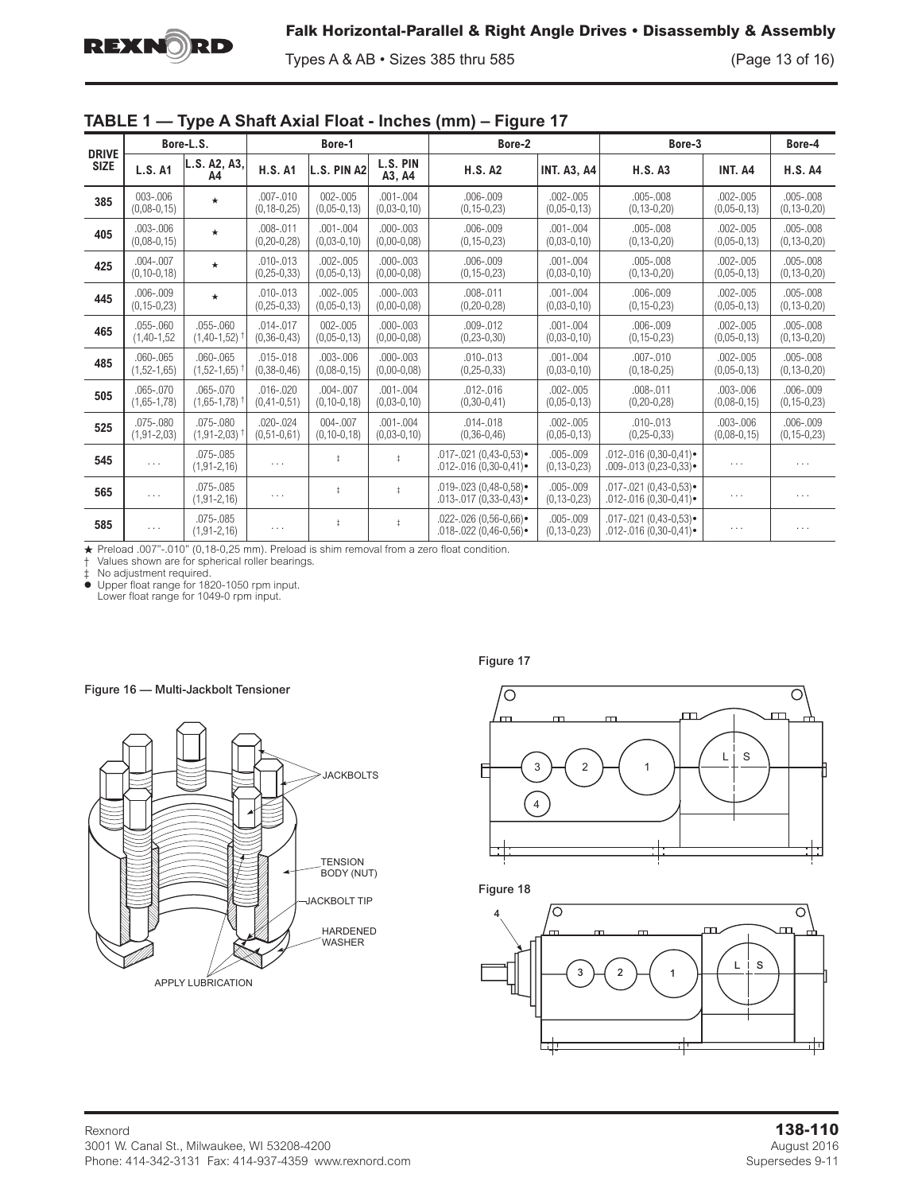Types A & AB • Sizes 385 thru 585 (Page 13 of 16)

|  |  |  |  | TABLE 1 - Type A Shaft Axial Float - Inches (mm) - Figure 17 |  |
|--|--|--|--|--------------------------------------------------------------|--|
|  |  |  |  |                                                              |  |

| <b>DRIVE</b> |                                    | Bore-L.S.                          |                                    | Bore-1                             |                                | Bore-2                                                              |                                  | Bore-3                                                            |                                | Bore-4                             |
|--------------|------------------------------------|------------------------------------|------------------------------------|------------------------------------|--------------------------------|---------------------------------------------------------------------|----------------------------------|-------------------------------------------------------------------|--------------------------------|------------------------------------|
| <b>SIZE</b>  | <b>L.S. A1</b>                     | L.S. A2, A3,<br>A4                 | <b>H.S. A1</b>                     | L.S. PIN A2                        | L.S. PIN<br>A3, A4             | <b>H.S. A2</b>                                                      | <b>INT. A3, A4</b>               | <b>H.S. A3</b>                                                    | INT. A4                        | <b>H.S. A4</b>                     |
| 385          | $003 - 006$<br>$(0,08-0,15)$       | $\star$                            | $.007 - .010$<br>$(0, 18 - 0, 25)$ | $002 - 005$<br>$(0,05-0,13)$       | $.001 - .004$<br>$(0,03-0,10)$ | $.006 - .009$<br>$(0, 15 - 0, 23)$                                  | $.002 - .005$<br>$(0,05-0,13)$   | $.005 - .008$<br>$(0, 13 - 0, 20)$                                | $.002 - .005$<br>$(0,05-0,13)$ | $.005 - .008$<br>$(0, 13 - 0, 20)$ |
| 405          | $.003 - .006$<br>$(0,08-0,15)$     | $\star$                            | $.008 - .011$<br>$(0, 20 - 0, 28)$ | $.001 - .004$<br>$(0,03-0,10)$     | $.000 - .003$<br>$(0,00-0,08)$ | $.006 - .009$<br>$(0, 15 - 0, 23)$                                  | $.001 - .004$<br>$(0,03-0,10)$   | $.005 - .008$<br>$(0, 13 - 0, 20)$                                | $.002 - .005$<br>$(0,05-0,13)$ | $.005 - .008$<br>$(0, 13 - 0, 20)$ |
| 425          | $.004 - .007$<br>$(0, 10 - 0, 18)$ | $\star$                            | $.010 - .013$<br>$(0, 25 - 0, 33)$ | $.002 - .005$<br>$(0,05-0,13)$     | $.000 - .003$<br>$(0,00-0,08)$ | $.006 - .009$<br>$(0, 15 - 0, 23)$                                  | $.001 - .004$<br>$(0,03-0,10)$   | $.005 - .008$<br>$(0, 13 - 0, 20)$                                | $.002 - .005$<br>$(0,05-0,13)$ | $.005 - .008$<br>$(0, 13 - 0, 20)$ |
| 445          | $.006 - .009$<br>$(0, 15 - 0, 23)$ | $\star$                            | $.010 - .013$<br>$(0, 25 - 0, 33)$ | $.002 - .005$<br>$(0,05-0,13)$     | $.000 - .003$<br>$(0,00-0,08)$ | $.008 - .011$<br>$(0, 20 - 0, 28)$                                  | $.001 - .004$<br>$(0,03-0,10)$   | $.006 - .009$<br>$(0, 15 - 0, 23)$                                | $.002 - .005$<br>$(0,05-0,13)$ | $.005 - .008$<br>$(0, 13 - 0, 20)$ |
| 465          | $.055-.060$<br>$(1,40-1,52)$       | $.055-.060$<br>$(1,40-1,52)$       | $.014 - .017$<br>$(0, 36 - 0, 43)$ | $002 - 005$<br>$(0,05-0,13)$       | $.000 - .003$<br>$(0,00-0,08)$ | $.009 - .012$<br>$(0, 23 - 0, 30)$                                  | $.001 - .004$<br>$(0,03-0,10)$   | $.006 - .009$<br>$(0, 15 - 0, 23)$                                | $.002 - .005$<br>$(0,05-0,13)$ | $.005 - .008$<br>$(0, 13 - 0, 20)$ |
| 485          | $.060 - .065$<br>$(1,52-1,65)$     | $.060 - .065$<br>$(1,52-1,65)$     | $.015 - .018$<br>$(0, 38 - 0, 46)$ | $.003 - .006$<br>$(0,08-0,15)$     | $.000 - .003$<br>$(0,00-0,08)$ | $.010 - .013$<br>$(0, 25 - 0, 33)$                                  | $.001 - .004$<br>$(0,03-0,10)$   | $.007 - .010$<br>$(0, 18 - 0, 25)$                                | $.002 - .005$<br>$(0,05-0,13)$ | $.005 - .008$<br>$(0, 13 - 0, 20)$ |
| 505          | $.065 - .070$<br>$(1,65-1,78)$     | $.065 - .070$<br>$(1,65-1,78)$     | $.016 - .020$<br>$(0, 41 - 0, 51)$ | $.004 - .007$<br>$(0, 10 - 0, 18)$ | $.001 - .004$<br>$(0,03-0,10)$ | $.012 - .016$<br>$(0,30-0,41)$                                      | $.002 - .005$<br>$(0,05-0,13)$   | $.008 - .011$<br>$(0, 20 - 0, 28)$                                | $.003 - .006$<br>$(0,08-0,15)$ | $.006 - .009$<br>$(0, 15 - 0, 23)$ |
| 525          | .075-.080<br>$(1, 91 - 2, 03)$     | $.075 - .080$<br>$(1, 91 - 2, 03)$ | $.020 - .024$<br>$(0, 51 - 0, 61)$ | $004 - 007$<br>$(0, 10 - 0, 18)$   | $.001 - .004$<br>$(0,03-0,10)$ | $.014 - .018$<br>$(0, 36 - 0, 46)$                                  | $.002 - .005$<br>$(0,05-0,13)$   | $.010 - .013$<br>$(0, 25 - 0, 33)$                                | $.003 - .006$<br>$(0,08-0,15)$ | $.006 - .009$<br>$(0, 15 - 0, 23)$ |
| 545          | $\ldots$                           | $.075 - .085$<br>$(1, 91 - 2, 16)$ | $\cdots$                           |                                    | $\ddagger$                     | $.017 - .021$ (0.43-0.53) $\bullet$<br>$.012 - .016(0, 30 - 0, 41)$ | $.005-.009$<br>$(0, 13 - 0, 23)$ | $.012 - .016(0.30 - 0.41)$<br>$.009 - .013(0.23 - 0.33)$ •        | .                              | $\cdots$                           |
| 565          | $\ldots$                           | .075-.085<br>$(1, 91 - 2, 16)$     | $\cdots$                           | $\ddagger$                         | $\ddagger$                     | $.019 - .023(0.48 - 0.58)$<br>$.013 - .017(0.33 - 0.43)$            | $.005-.009$<br>$(0, 13 - 0, 23)$ | $.017 - .021$ (0,43-0,53) $\bullet$<br>$.012 - .016(0.30 - 0.41)$ | $\sim$ $\sim$ $\sim$           | $\cdots$                           |
| 585          | $\cdots$                           | .075-.085<br>$(1, 91 - 2, 16)$     | $\cdots$                           | $\ddagger$                         | $\ddagger$                     | $.022 - .026$ (0.56-0.66) •<br>$.018 - .022(0.46 - 0.56)$           | .005-.009<br>$(0, 13 - 0, 23)$   | $.017 - .021(0.43 - 0.53)$<br>$.012 - .016(0.30 - 0.41)$          | $\cdots$                       | $\cdots$                           |

★ Preload .007"-.010" (0,18-0,25 mm). Preload is shim removal from a zero float condition.<br>† Values shown are for spherical roller bearings.

‡ No adjustment required.

z Upper float range for 1820-1050 rpm input. Lower float range for 1049-0 rpm input.







Figure 18

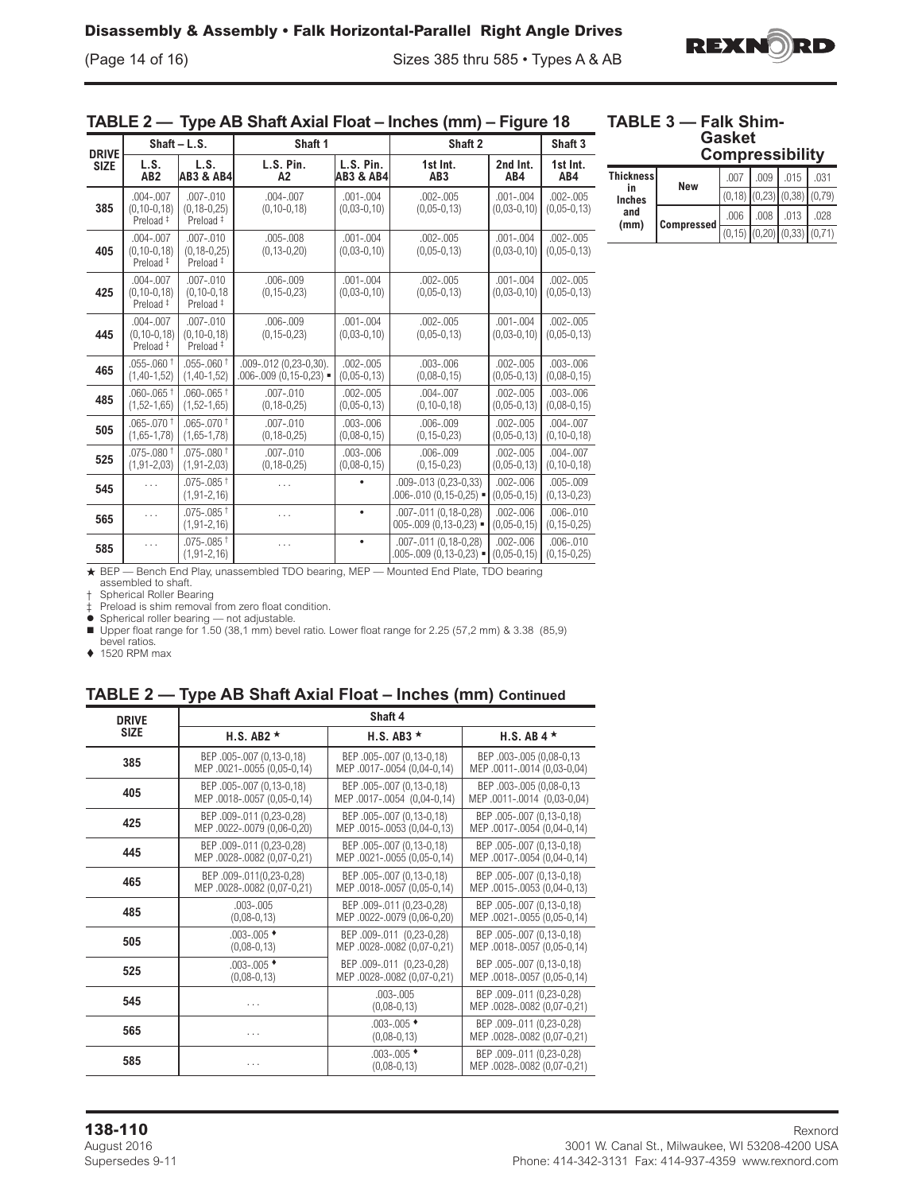(Page 14 of 16) Sizes 385 thru 585 • Types A & AB



## **TABLE 2 — Type AB Shaft Axial Float – Inches (mm) – Figure 18**

## **TABLE 3 — Falk Shim-Gasket**

| <b>DRIVE</b> |                                                            | Shaft - L.S.                                               | Shaft 1                                                |                                   | Shaft 2                                                           |                                | Shaft 3                            |
|--------------|------------------------------------------------------------|------------------------------------------------------------|--------------------------------------------------------|-----------------------------------|-------------------------------------------------------------------|--------------------------------|------------------------------------|
| <b>SIZE</b>  | L.S.<br>AB2                                                | L.S.<br><b>AB3 &amp; AB4</b>                               | L.S. Pin.<br>A <sub>2</sub>                            | L.S. Pin.<br><b>AB3 &amp; AB4</b> | 1st Int.<br>AB <sub>3</sub>                                       | 2nd Int.<br>AB4                | 1st Int.<br>AB4                    |
| 385          | $.004 - .007$<br>$(0, 10 - 0, 18)$<br>Preload <sup>#</sup> | $.007 - .010$<br>$(0, 18 - 0, 25)$<br>Preload <sup>#</sup> | $.004 - .007$<br>$(0, 10 - 0, 18)$                     | $.001 - .004$<br>$(0,03-0,10)$    | $.002 - .005$<br>$(0,05-0,13)$                                    | $.001 - .004$<br>$(0,03-0,10)$ | $.002 - .005$<br>$(0,05-0,13)$     |
| 405          | $.004 - .007$<br>$(0, 10 - 0, 18)$<br>Preload <sup>#</sup> | $.007 - .010$<br>$(0, 18 - 0, 25)$<br>Preload <sup>#</sup> | $.005 - .008$<br>$(0, 13 - 0, 20)$                     | $.001 - .004$<br>$(0,03-0,10)$    | $.002 - .005$<br>$(0,05-0,13)$                                    | $.001 - .004$<br>$(0,03-0,10)$ | $.002 - .005$<br>$(0,05-0,13)$     |
| 425          | $.004 - .007$<br>$(0, 10 - 0, 18)$<br>Preload <sup>#</sup> | $.007 - .010$<br>$(0, 10 - 0, 18)$<br>Preload <sup>#</sup> | $.006 - .009$<br>$(0, 15 - 0, 23)$                     | $.001 - .004$<br>$(0,03-0,10)$    | $.002 - .005$<br>$(0,05-0,13)$                                    | $.001 - .004$<br>$(0,03-0,10)$ | $.002 - .005$<br>$(0,05-0,13)$     |
| 445          | $.004 - .007$<br>$(0, 10 - 0, 18)$<br>Preload <sup>#</sup> | $.007 - .010$<br>$(0, 10 - 0, 18)$<br>Preload <sup>#</sup> | $.006 - .009$<br>$(0, 15 - 0, 23)$                     | $.001 - .004$<br>$(0,03-0,10)$    | $.002 - .005$<br>$(0,05-0,13)$                                    | $.001 - .004$<br>$(0,03-0,10)$ | $.002 - .005$<br>$(0,05-0,13)$     |
| 465          | $.055$ -.060 $^{\dagger}$<br>$(1,40-1,52)$                 | $.055 - .060 +$<br>$(1,40-1,52)$                           | .009-.012 (0,23-0,30).<br>$.006 - .009(0, 15 - 0, 23)$ | $.002 - .005$<br>$(0,05-0,13)$    | $.003 - .006$<br>$(0,08-0,15)$                                    | $.002 - .005$<br>$(0,05-0,13)$ | $.003 - .006$<br>$(0,08-0,15)$     |
| 485          | $.060 - .065$ <sup>†</sup><br>$(1,52-1,65)$                | $.060 - .065$ <sup>†</sup><br>$(1,52-1,65)$                | $.007 - .010$<br>$(0, 18 - 0, 25)$                     | $.002 - .005$<br>$(0,05-0,13)$    | $.004 - .007$<br>$(0, 10 - 0, 18)$                                | $.002 - .005$<br>$(0,05-0,13)$ | $.003 - .006$<br>$(0,08-0,15)$     |
| 505          | $.065 - .070$ <sup>+</sup><br>$(1,65-1,78)$                | $.065 - .070 +$<br>$(1,65-1,78)$                           | $.007 - .010$<br>$(0, 18 - 0, 25)$                     | $.003 - .006$<br>$(0,08-0,15)$    | $.006 - .009$<br>$(0, 15 - 0, 23)$                                | $.002 - .005$<br>$(0,05-0,13)$ | $.004 - .007$<br>$(0, 10 - 0, 18)$ |
| 525          | $.075 - .080$ <sup>+</sup><br>$(1, 91 - 2, 03)$            | $.075 - .080$ <sup>†</sup><br>$(1, 91 - 2, 03)$            | $.007 - .010$<br>$(0, 18 - 0, 25)$                     | $.003 - .006$<br>$(0,08-0,15)$    | $.006 - .009$<br>$(0, 15 - 0, 23)$                                | $.002 - .005$<br>$(0,05-0,13)$ | $.004 - .007$<br>$(0, 10 - 0, 18)$ |
| 545          |                                                            | $.075 - .085$ <sup>+</sup><br>$(1, 91 - 2, 16)$            |                                                        |                                   | .009-.013 (0,23-0,33)<br>$.006 - .010(0.15 - 0.25)$ =             | $.002 - .006$<br>$(0,05-0,15)$ | $.005 - .009$<br>$(0, 13 - 0, 23)$ |
| 565          | .                                                          | $.075 - .085$ †<br>$(1, 91 - 2, 16)$                       | .                                                      |                                   | .007-.011 (0,18-0,28)<br>$005 - 009(0, 13 - 0, 23)$ =             | $.002 - .006$<br>$(0,05-0,15)$ | $.006 - .010$<br>$(0, 15 - 0, 25)$ |
| 585          | .                                                          | $.075 - .085$ <sup>+</sup><br>$(1, 91 - 2, 16)$            |                                                        | ٠                                 | .007-.011 (0.18-0.28)<br>$.005 - .009$ (0,13-0,23) $\blacksquare$ | $.002 - .006$<br>$(0,05-0,15)$ | $.006 - .010$<br>$(0, 15 - 0, 25)$ |
|              |                                                            |                                                            |                                                        |                                   |                                                                   |                                |                                    |

**Compressibility**

| <b>Thickness</b><br>in | New        | .007                                | .009 | .015 | .031 |
|------------------------|------------|-------------------------------------|------|------|------|
| <b>Inches</b>          |            | $(0,18)$ $(0,23)$ $(0,38)$ $(0,79)$ |      |      |      |
| and<br>(mm)            | Compressed | .006                                | .008 | .013 | .028 |
|                        |            | $(0,15)$ $(0,20)$ $(0,33)$ $(0,71)$ |      |      |      |

+ BEP — Bench End Play, unassembled TDO bearing, MEP — Mounted End Plate, TDO bearing assembled to shaft.

† Spherical Roller Bearing

‡ Preload is shim removal from zero float condition.  $\bullet$  Spherical roller bearing — not adjustable.

■ Upper float range for 1.50 (38,1 mm) bevel ratio. Lower float range for 2.25 (57,2 mm) & 3.38 (85,9)<br>bevel ratios.

 $\triangle$  1520 RPM max

# **TABLE 2 — Type AB Shaft Axial Float – Inches (mm) Continued**

| <b>DRIVE</b> |                             | Shaft 4                                  |                                                          |
|--------------|-----------------------------|------------------------------------------|----------------------------------------------------------|
| <b>SIZE</b>  | H.S. AB2 $\star$            | H.S. AB3 $\star$                         | H.S. AB $4 \star$                                        |
| 385          | BEP .005-.007 (0,13-0,18)   | BEP .005-.007 (0,13-0,18)                | BEP.003-.005 (0,08-0,13)                                 |
|              | MEP .0021-.0055 (0,05-0,14) | MEP .0017-.0054 (0,04-0,14)              | MEP .0011-.0014 (0,03-0,04)                              |
| 405          | BEP .005-.007 (0,13-0,18)   | BEP .005-.007 (0,13-0,18)                | BEP.003-.005 (0,08-0,13)                                 |
|              | MEP .0018-.0057 (0,05-0,14) | MEP.0017-.0054 (0,04-0,14)               | MEP.0011-.0014 (0,03-0,04)                               |
| 425          | BEP.009-.011 (0,23-0,28)    | BEP .005-.007 (0,13-0,18)                | BEP .005-.007 (0,13-0,18)                                |
|              | MEP .0022-.0079 (0,06-0,20) | MEP .0015-.0053 (0,04-0,13)              | MEP .0017-.0054 (0,04-0,14)                              |
| 445          | BEP .009-.011 (0,23-0,28)   | BEP .005-.007 (0,13-0,18)                | BEP .005-.007 (0,13-0,18)                                |
|              | MEP .0028-.0082 (0,07-0,21) | MEP .0021-.0055 (0,05-0,14)              | MEP .0017-.0054 (0,04-0,14)                              |
| 465          | BEP.009-.011(0,23-0,28)     | BEP .005-.007 (0,13-0,18)                | BEP .005-.007 (0,13-0,18)                                |
|              | MEP .0028-.0082 (0,07-0,21) | MEP .0018-.0057 (0,05-0,14)              | MEP.0015-.0053 (0,04-0,13)                               |
| 485          | $.003 - .005$               | BEP.009-.011 (0,23-0,28)                 | BEP .005-.007 (0,13-0,18)                                |
|              | $(0,08-0,13)$               | MEP.0022-.0079 (0,06-0,20)               | MEP .0021-.0055 (0,05-0,14)                              |
| 505          | $.003 - .005$ $\bullet$     | BEP.009-.011 (0,23-0,28)                 | BEP .005-.007 (0,13-0,18)                                |
|              | $(0,08-0,13)$               | MEP .0028-.0082 (0,07-0,21)              | MEP .0018-.0057 (0,05-0,14)                              |
| 525          | $.003 - .005$ $\bullet$     | BEP.009-.011 (0,23-0,28)                 | BEP.005-.007 (0,13-0,18)                                 |
|              | $(0,08-0,13)$               | MEP .0028-.0082 (0,07-0,21)              | MEP .0018-.0057 (0,05-0,14)                              |
| 545          | .                           | $.003 - .005$<br>$(0,08-0,13)$           | BEP .009-.011 (0,23-0,28)<br>MEP .0028-.0082 (0,07-0,21) |
| 565          | .                           | $.003 - .005$ $\star$<br>$(0,08-0,13)$   | BEP.009-.011 (0,23-0,28)<br>MEP.0028-.0082 (0,07-0,21)   |
| 585          | .                           | $.003 - .005$ $\bullet$<br>$(0,08-0,13)$ | BEP.009-.011 (0,23-0,28)<br>MEP.0028-.0082 (0,07-0,21)   |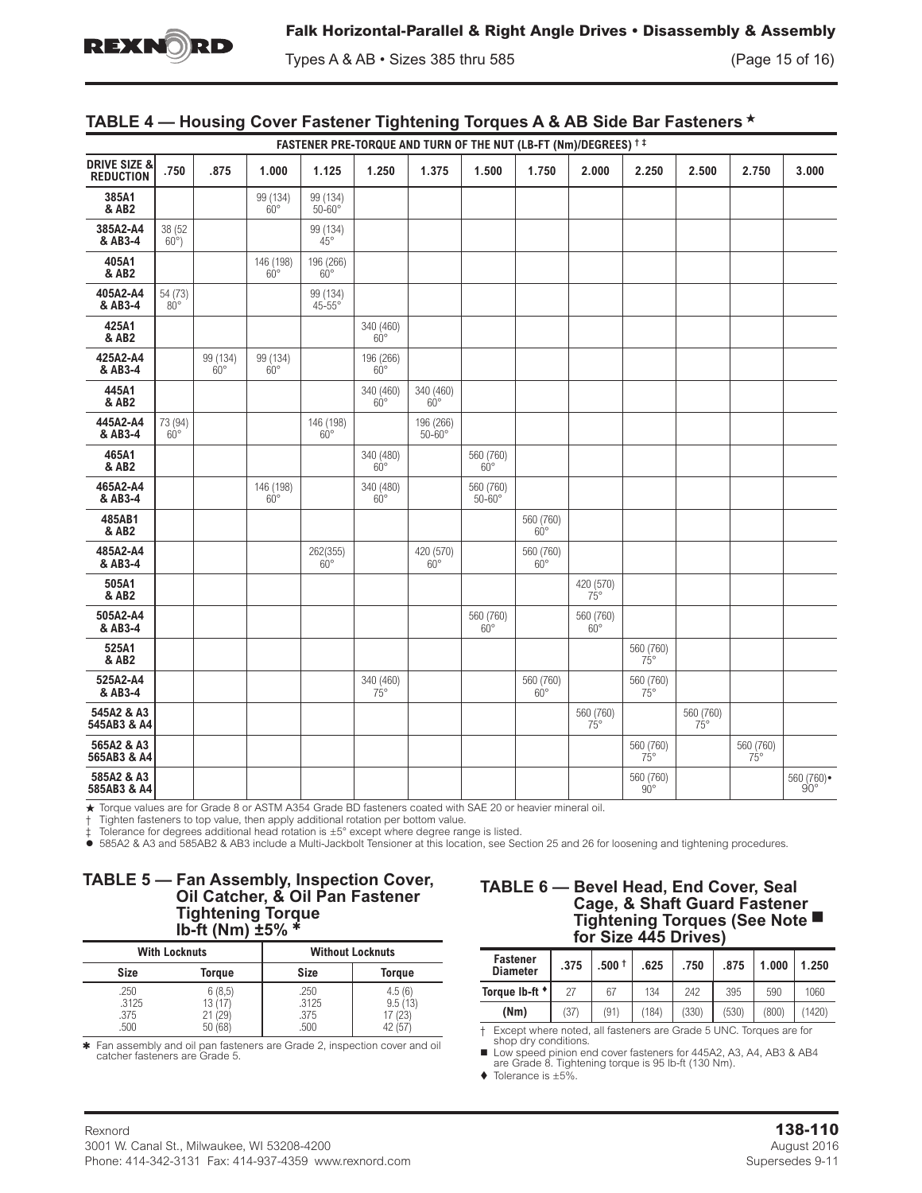

Types A & AB • Sizes 385 thru 585 (Page 15 of 16)

## **TABLE 4 — Housing Cover Fastener Tightening Torques A & AB Side Bar Fasteners**

| FASTENER PRE-TORQUE AND TURN OF THE NUT (LB-FT (Nm)/DEGREES) <sup>† ‡</sup> |                          |                        |                           |                               |                           |                                         |                              |                                |                           |                           |                           |                           |                         |
|-----------------------------------------------------------------------------|--------------------------|------------------------|---------------------------|-------------------------------|---------------------------|-----------------------------------------|------------------------------|--------------------------------|---------------------------|---------------------------|---------------------------|---------------------------|-------------------------|
| <b>DRIVE SIZE &amp;</b><br><b>REDUCTION</b>                                 | .750                     | .875                   | 1.000                     | 1.125                         | 1.250                     | 1.375                                   | 1.500                        | 1.750                          | 2.000                     | 2.250                     | 2.500                     | 2.750                     | 3.000                   |
| 385A1<br>& AB2                                                              |                          |                        | 99 (134)<br>$60^\circ$    | 99 (134)<br>$50 - 60^{\circ}$ |                           |                                         |                              |                                |                           |                           |                           |                           |                         |
| 385A2-A4<br>& AB3-4                                                         | 38 (52<br>$60^{\circ}$ ) |                        |                           | 99 (134)<br>$45^{\circ}$      |                           |                                         |                              |                                |                           |                           |                           |                           |                         |
| 405A1<br>& AB2                                                              |                          |                        | 146 (198)<br>$60^{\circ}$ | 196 (266)<br>$60^\circ$       |                           |                                         |                              |                                |                           |                           |                           |                           |                         |
| 405A2-A4<br>& AB3-4                                                         | 54 (73)<br>$80^{\circ}$  |                        |                           | 99 (134)<br>$45 - 55^{\circ}$ |                           |                                         |                              |                                |                           |                           |                           |                           |                         |
| 425A1<br>& AB2                                                              |                          |                        |                           |                               | 340 (460)<br>$60^{\circ}$ |                                         |                              |                                |                           |                           |                           |                           |                         |
| 425A2-A4<br>& AB3-4                                                         |                          | 99 (134)<br>$60^\circ$ | 99 (134)<br>$60^\circ$    |                               | 196 (266)<br>$60^{\circ}$ |                                         |                              |                                |                           |                           |                           |                           |                         |
| 445A1<br>& AB2                                                              |                          |                        |                           |                               | 340 (460)<br>$60^{\circ}$ | 340 (460)<br>$60^{\circ}$               |                              |                                |                           |                           |                           |                           |                         |
| 445A2-A4<br>& AB3-4                                                         | 73 (94)<br>$60^{\circ}$  |                        |                           | 146 (198)<br>$60^{\circ}$     |                           | 196 (266)<br>$50 - 60^\circ$            |                              |                                |                           |                           |                           |                           |                         |
| 465A1<br>& AB2                                                              |                          |                        |                           |                               | 340 (480)<br>$60^{\circ}$ |                                         | 560 (760)<br>$60^{\circ}$    |                                |                           |                           |                           |                           |                         |
| 465A2-A4<br>& AB3-4                                                         |                          |                        | 146 (198)<br>$60^{\circ}$ |                               | 340 (480)<br>$60^\circ$   |                                         | 560 (760)<br>$50 - 60^\circ$ |                                |                           |                           |                           |                           |                         |
| 485AB1<br>& AB2                                                             |                          |                        |                           |                               |                           |                                         |                              | 560 (760)<br>$60^{\circ}$      |                           |                           |                           |                           |                         |
| 485A2-A4<br>& AB3-4                                                         |                          |                        |                           | $\frac{262(355)}{60^{\circ}}$ |                           | $\substack{420\ (570)}\atop 60^{\circ}$ |                              | 560 (760)<br>$60^{\circ}$      |                           |                           |                           |                           |                         |
| 505A1<br>& AB2                                                              |                          |                        |                           |                               |                           |                                         |                              |                                | 420 (570)<br>$75^{\circ}$ |                           |                           |                           |                         |
| 505A2-A4<br>& AB3-4                                                         |                          |                        |                           |                               |                           |                                         | 560 (760)<br>$60^{\circ}$    |                                | 560 (760)<br>$60^{\circ}$ |                           |                           |                           |                         |
| 525A1<br>& AB2                                                              |                          |                        |                           |                               |                           |                                         |                              |                                |                           | 560 (760)<br>$75^\circ$   |                           |                           |                         |
| 525A2-A4<br>& AB3-4                                                         |                          |                        |                           |                               | 340 (460)<br>75°          |                                         |                              | $\frac{560}{60^{\circ}}$ (760) |                           | 560 (760)<br>$75^{\circ}$ |                           |                           |                         |
| 545A2 & A3<br>545AB3 & A4                                                   |                          |                        |                           |                               |                           |                                         |                              |                                | 560 (760)<br>$75^\circ$   |                           | 560 (760)<br>$75^{\circ}$ |                           |                         |
| 565A2 & A3<br>565AB3 & A4                                                   |                          |                        |                           |                               |                           |                                         |                              |                                |                           | 560 (760)<br>$75^\circ$   |                           | 560 (760)<br>$75^{\circ}$ |                         |
| 585A2 & A3<br>585AB3 & A4                                                   |                          |                        |                           |                               |                           |                                         |                              |                                |                           | 560 (760)<br>$90^{\circ}$ |                           |                           | $^{560}$ (760) •<br>90° |

★ Torque values are for Grade 8 or ASTM A354 Grade BD fasteners coated with SAE 20 or heavier mineral oil.

† Tighten fasteners to top value, then apply additional rotation per bottom value.

Tolerance for degrees additional head rotation is  $\pm 5^{\circ}$  except where degree range is listed.

z 585A2 & A3 and 585AB2 & AB3 include a Multi-Jackbolt Tensioner at this location, see Section 25 and 26 for loosening and tightening procedures.

### **TABLE 5 — Fan Assembly, Inspection Cover, Oil Catcher, & Oil Pan Fastener Tightening Torque lb-ft (Nm) ±5%**

| <b>With Locknuts</b>          |                                        |                               | <b>Without Locknuts</b>               |
|-------------------------------|----------------------------------------|-------------------------------|---------------------------------------|
| <b>Size</b>                   | <b>Torque</b>                          | <b>Size</b>                   | <b>Torque</b>                         |
| .250<br>.3125<br>.375<br>.500 | 6(8,5)<br>13(17)<br>21 (29)<br>50 (68) | .250<br>.3125<br>.375<br>.500 | 4.5(6)<br>9.5(13)<br>17 (23)<br>. (57 |

4 Fan assembly and oil pan fasteners are Grade 2, inspection cover and oil catcher fasteners are Grade 5.

## **TABLE 6 — Bevel Head, End Cover, Seal Cage, & Shaft Guard Fastener Tightening Torques (See Note for Size 445 Drives)**

| <b>Fastener</b><br><b>Diameter</b> | .375 | $.500 +$ | .625  | .750  | .875  | 1.000 | 1.250 |
|------------------------------------|------|----------|-------|-------|-------|-------|-------|
| Torque Ib-ft *                     |      | 67       | 134   | 242   | 395   | 590   | 1060  |
| (Nm)                               | (37) | (91)     | (184) | (330) | (530) | (800) | 1420  |

† Except where noted, all fasteners are Grade 5 UNC. Torques are for shop dry conditions.

■ Low speed pinion end cover fasteners for 445A2, A3, A4, AB3 & AB4 are Grade 8. Tightening torque is 95 lb-ft (130 Nm).

 $\blacklozenge$  Tolerance is  $\pm 5\%$ .